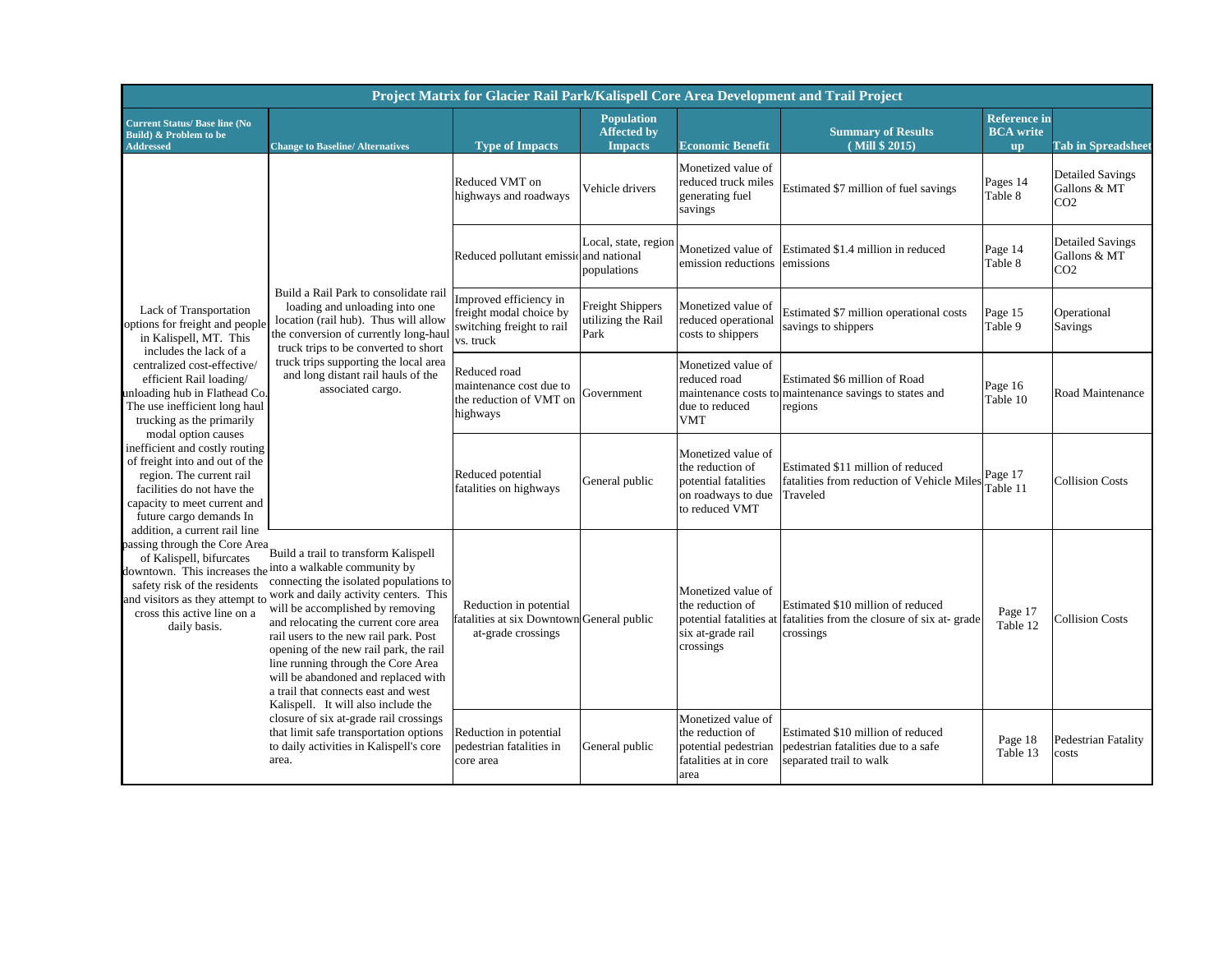|                                                                                                                                                                                                                        |                                                                                                                                                                                                                                                                                                                                                                                                                                                                                                                                                | Project Matrix for Glacier Rail Park/Kalispell Core Area Development and Trail Project      |                                                                                                                                                |                                                                                                        |                                                                                                                       |                                                      |                                                            |
|------------------------------------------------------------------------------------------------------------------------------------------------------------------------------------------------------------------------|------------------------------------------------------------------------------------------------------------------------------------------------------------------------------------------------------------------------------------------------------------------------------------------------------------------------------------------------------------------------------------------------------------------------------------------------------------------------------------------------------------------------------------------------|---------------------------------------------------------------------------------------------|------------------------------------------------------------------------------------------------------------------------------------------------|--------------------------------------------------------------------------------------------------------|-----------------------------------------------------------------------------------------------------------------------|------------------------------------------------------|------------------------------------------------------------|
| <b>Current Status/ Base line (No</b><br>Build) & Problem to be<br><b>Addressed</b>                                                                                                                                     | <b>Change to Baseline/ Alternatives</b>                                                                                                                                                                                                                                                                                                                                                                                                                                                                                                        | <b>Type of Impacts</b>                                                                      | <b>Population</b><br><b>Affected by</b><br><b>Impacts</b>                                                                                      | <b>Economic Benefit</b>                                                                                | <b>Summary of Results</b><br>(Mill \$ 2015)                                                                           | <b>Reference</b> in<br><b>BCA</b> write<br><b>up</b> | <b>Tab in Spreadsheet</b>                                  |
|                                                                                                                                                                                                                        |                                                                                                                                                                                                                                                                                                                                                                                                                                                                                                                                                | Reduced VMT on<br>highways and roadways                                                     | Vehicle drivers                                                                                                                                | Monetized value of<br>reduced truck miles<br>generating fuel<br>savings                                | Estimated \$7 million of fuel savings                                                                                 | Pages 14<br>Table 8                                  | <b>Detailed Savings</b><br>Gallons & MT<br>CO <sub>2</sub> |
|                                                                                                                                                                                                                        |                                                                                                                                                                                                                                                                                                                                                                                                                                                                                                                                                | Reduced pollutant emissional national                                                       | Local, state, region<br>populations                                                                                                            | Monetized value of<br>emission reductions                                                              | Estimated \$1.4 million in reduced<br>emissions                                                                       | Page 14<br>Table 8                                   | <b>Detailed Savings</b><br>Gallons & MT<br>CO <sub>2</sub> |
| Lack of Transportation<br>options for freight and people<br>in Kalispell, MT. This<br>includes the lack of a                                                                                                           | Build a Rail Park to consolidate rail<br>loading and unloading into one<br>location (rail hub). Thus will allow<br>the conversion of currently long-haul<br>truck trips to be converted to short                                                                                                                                                                                                                                                                                                                                               | Improved efficiency in<br>freight modal choice by<br>switching freight to rail<br>vs. truck | <b>Freight Shippers</b><br>Monetized value of<br>utilizing the Rail<br>reduced operational<br>savings to shippers<br>Park<br>costs to shippers | Estimated \$7 million operational costs                                                                | Page 15<br>Table 9                                                                                                    | Operational<br>Savings                               |                                                            |
| centralized cost-effective/<br>efficient Rail loading/<br>unloading hub in Flathead Co.<br>The use inefficient long haul<br>trucking as the primarily<br>modal option causes                                           | truck trips supporting the local area<br>and long distant rail hauls of the<br>associated cargo.                                                                                                                                                                                                                                                                                                                                                                                                                                               | Reduced road<br>maintenance cost due to<br>the reduction of VMT on<br>highways              | Government                                                                                                                                     | Monetized value of<br>reduced road<br>maintenance costs to<br>due to reduced<br><b>VMT</b>             | Estimated \$6 million of Road<br>maintenance savings to states and<br>regions                                         | Page 16<br>Table 10                                  | Road Maintenance                                           |
| inefficient and costly routing<br>of freight into and out of the<br>region. The current rail<br>facilities do not have the<br>capacity to meet current and<br>future cargo demands In<br>addition, a current rail line |                                                                                                                                                                                                                                                                                                                                                                                                                                                                                                                                                | Reduced potential<br>fatalities on highways                                                 | General public                                                                                                                                 | Monetized value of<br>the reduction of<br>potential fatalities<br>on roadways to due<br>to reduced VMT | Estimated \$11 million of reduced<br>fatalities from reduction of Vehicle Miles<br>Traveled                           | Page 17<br>Table 11                                  | <b>Collision Costs</b>                                     |
| passing through the Core Area<br>of Kalispell, bifurcates<br>safety risk of the residents<br>cross this active line on a<br>daily basis.                                                                               | Build a trail to transform Kalispell<br>downtown. This increases the into a walkable community by<br>connecting the isolated populations to<br>and visitors as they attempt to work and daily activity centers. This<br>will be accomplished by removing<br>and relocating the current core area<br>rail users to the new rail park. Post<br>opening of the new rail park, the rail<br>line running through the Core Area<br>will be abandoned and replaced with<br>a trail that connects east and west<br>Kalispell. It will also include the | Reduction in potential<br>fatalities at six Downtown General public<br>at-grade crossings   |                                                                                                                                                | Monetized value of<br>the reduction of<br>six at-grade rail<br>crossings                               | Estimated \$10 million of reduced<br>potential fatalities at fatalities from the closure of six at-grade<br>crossings | Page 17<br>Table 12                                  | <b>Collision Costs</b>                                     |
|                                                                                                                                                                                                                        | closure of six at-grade rail crossings<br>that limit safe transportation options<br>to daily activities in Kalispell's core<br>area.                                                                                                                                                                                                                                                                                                                                                                                                           | Reduction in potential<br>pedestrian fatalities in<br>core area                             | General public                                                                                                                                 | Monetized value of<br>the reduction of<br>potential pedestrian<br>fatalities at in core<br>area        | Estimated \$10 million of reduced<br>pedestrian fatalities due to a safe<br>separated trail to walk                   | Page 18<br>Table 13                                  | Pedestrian Fatality<br>costs                               |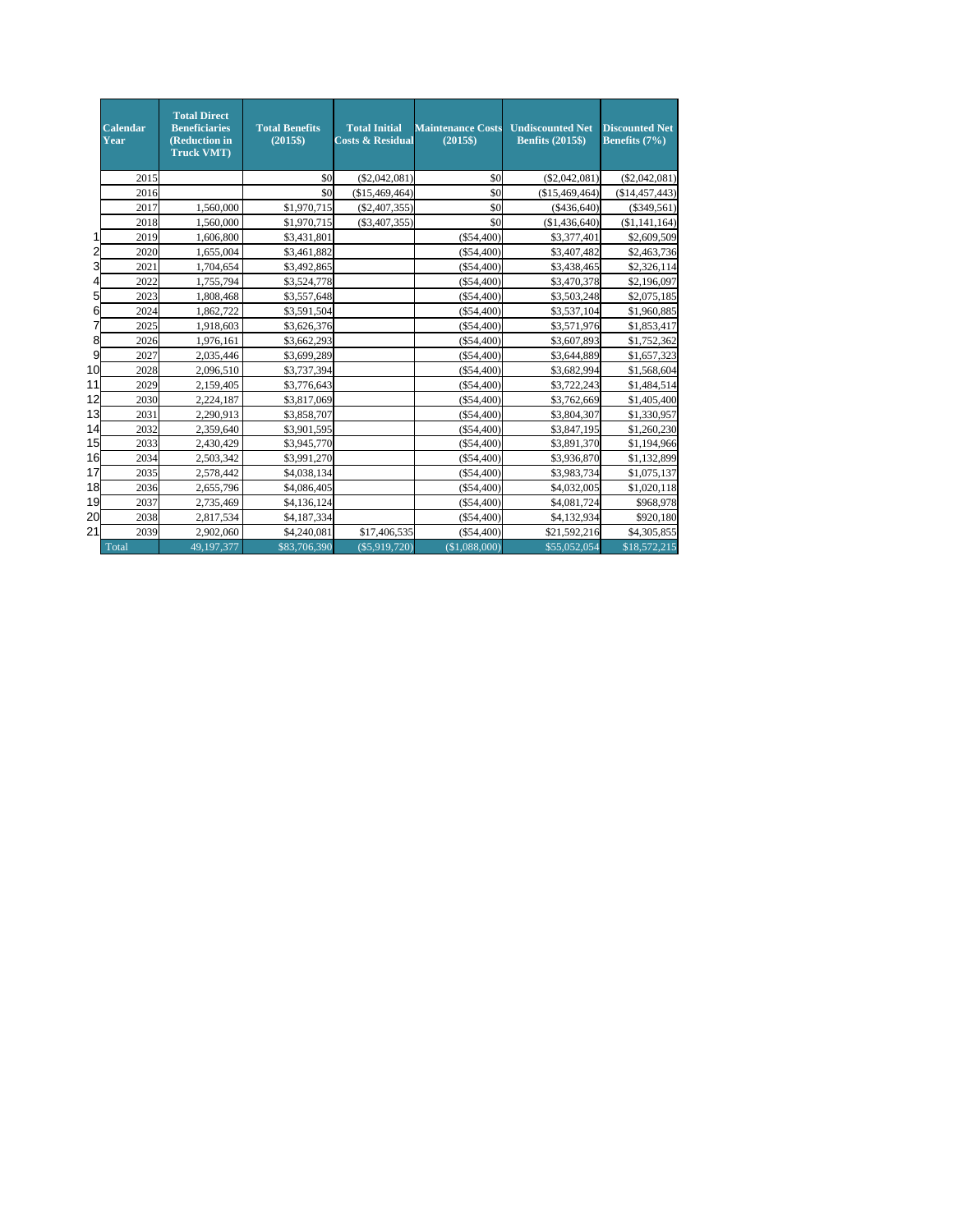|    | <b>Calendar</b><br>Year | <b>Total Direct</b><br><b>Beneficiaries</b><br>(Reduction in<br><b>Truck VMT</b> ) | <b>Total Benefits</b><br>$(2015\$ | <b>Total Initial</b><br><b>Costs &amp; Residual</b> | <b>Maintenance Costs</b><br>$(2015\$ | <b>Undiscounted Net</b><br><b>Benfits (2015\$)</b> | <b>Discounted Net</b><br>Benefits (7%) |
|----|-------------------------|------------------------------------------------------------------------------------|-----------------------------------|-----------------------------------------------------|--------------------------------------|----------------------------------------------------|----------------------------------------|
|    | 2015                    |                                                                                    | \$0                               | (\$2,042,081)                                       | \$0                                  | (\$2,042,081)                                      | (\$2,042,081)                          |
|    | 2016                    |                                                                                    | \$0                               | (\$15,469,464)                                      | \$0                                  | (\$15,469,464)                                     | (\$14,457,443)                         |
|    | 2017                    | 1,560,000                                                                          | \$1,970,715                       | (S2, 407, 355)                                      | \$0                                  | ( \$436,640)                                       | $(\$349,561)$                          |
|    | 2018                    | 1.560,000                                                                          | \$1,970,715                       | $(\$3,407,355)$                                     | \$0                                  | (\$1,436,640)                                      | (\$1,141,164)                          |
|    | 2019                    | 1,606,800                                                                          | \$3,431,801                       |                                                     | $(\$54,400)$                         | \$3,377,401                                        | \$2,609,509                            |
| 2  | 2020                    | 1,655,004                                                                          | \$3,461,882                       |                                                     | $(\$54,400)$                         | \$3,407,482                                        | \$2,463,736                            |
| 3  | 2021                    | 1,704,654                                                                          | \$3,492,865                       |                                                     | $(\$54,400)$                         | \$3,438,465                                        | \$2,326,114                            |
| 4  | 2022                    | 1,755,794                                                                          | \$3,524,778                       |                                                     | $(\$54,400)$                         | \$3,470,378                                        | \$2,196,097                            |
| 5  | 2023                    | 1,808,468                                                                          | \$3,557,648                       |                                                     | $(\$54,400)$                         | \$3,503,248                                        | \$2,075,185                            |
| 6  | 2024                    | 1,862,722                                                                          | \$3,591,504                       |                                                     | $(\$54,400)$                         | \$3,537,104                                        | \$1,960,885                            |
| 7  | 2025                    | 1,918,603                                                                          | \$3,626,376                       |                                                     | $(\$54,400)$                         | \$3,571,976                                        | \$1,853,417                            |
| 8  | 2026                    | 1,976,161                                                                          | \$3,662,293                       |                                                     | $(\$54,400)$                         | \$3,607,893                                        | \$1,752,362                            |
| 9  | 2027                    | 2,035,446                                                                          | \$3,699,289                       |                                                     | $(\$54,400)$                         | \$3,644,889                                        | \$1,657,323                            |
| 10 | 2028                    | 2,096,510                                                                          | \$3,737,394                       |                                                     | $(\$54,400)$                         | \$3,682,994                                        | \$1,568,604                            |
| 11 | 2029                    | 2,159,405                                                                          | \$3,776,643                       |                                                     | $(\$54,400)$                         | \$3,722,243                                        | \$1,484,514                            |
| 12 | 2030                    | 2,224,187                                                                          | \$3,817,069                       |                                                     | $(\$54,400)$                         | \$3,762,669                                        | \$1,405,400                            |
| 13 | 2031                    | 2,290,913                                                                          | \$3,858,707                       |                                                     | $(\$54,400)$                         | \$3,804,307                                        | \$1,330,957                            |
| 14 | 2032                    | 2.359.640                                                                          | \$3,901,595                       |                                                     | $(\$54,400)$                         | \$3,847,195                                        | \$1,260,230                            |
| 15 | 2033                    | 2,430,429                                                                          | \$3,945,770                       |                                                     | $(\$54,400)$                         | \$3,891,370                                        | \$1,194,966                            |
| 16 | 2034                    | 2,503,342                                                                          | \$3,991,270                       |                                                     | $(\$54,400)$                         | \$3,936,870                                        | \$1,132,899                            |
| 17 | 2035                    | 2,578,442                                                                          | \$4,038,134                       |                                                     | $(\$54,400)$                         | \$3,983,734                                        | \$1,075,137                            |
| 18 | 2036                    | 2,655,796                                                                          | \$4,086,405                       |                                                     | $(\$54,400)$                         | \$4,032,005                                        | \$1,020,118                            |
| 19 | 2037                    | 2,735,469                                                                          | \$4,136,124                       |                                                     | $(\$54,400)$                         | \$4,081,724                                        | \$968,978                              |
| 20 | 2038                    | 2,817,534                                                                          | \$4,187,334                       |                                                     | $(\$54,400)$                         | \$4,132,934                                        | \$920,180                              |
| 21 | 2039                    | 2,902,060                                                                          | \$4,240,081                       | \$17,406,535                                        | $(\$54,400)$                         | \$21,592,216                                       | \$4,305,855                            |
|    | Total                   | 49,197,377                                                                         | \$83,706,390                      | (\$5,919,720)                                       | (\$1,088,000)                        | \$55,052,054                                       | \$18,572,215                           |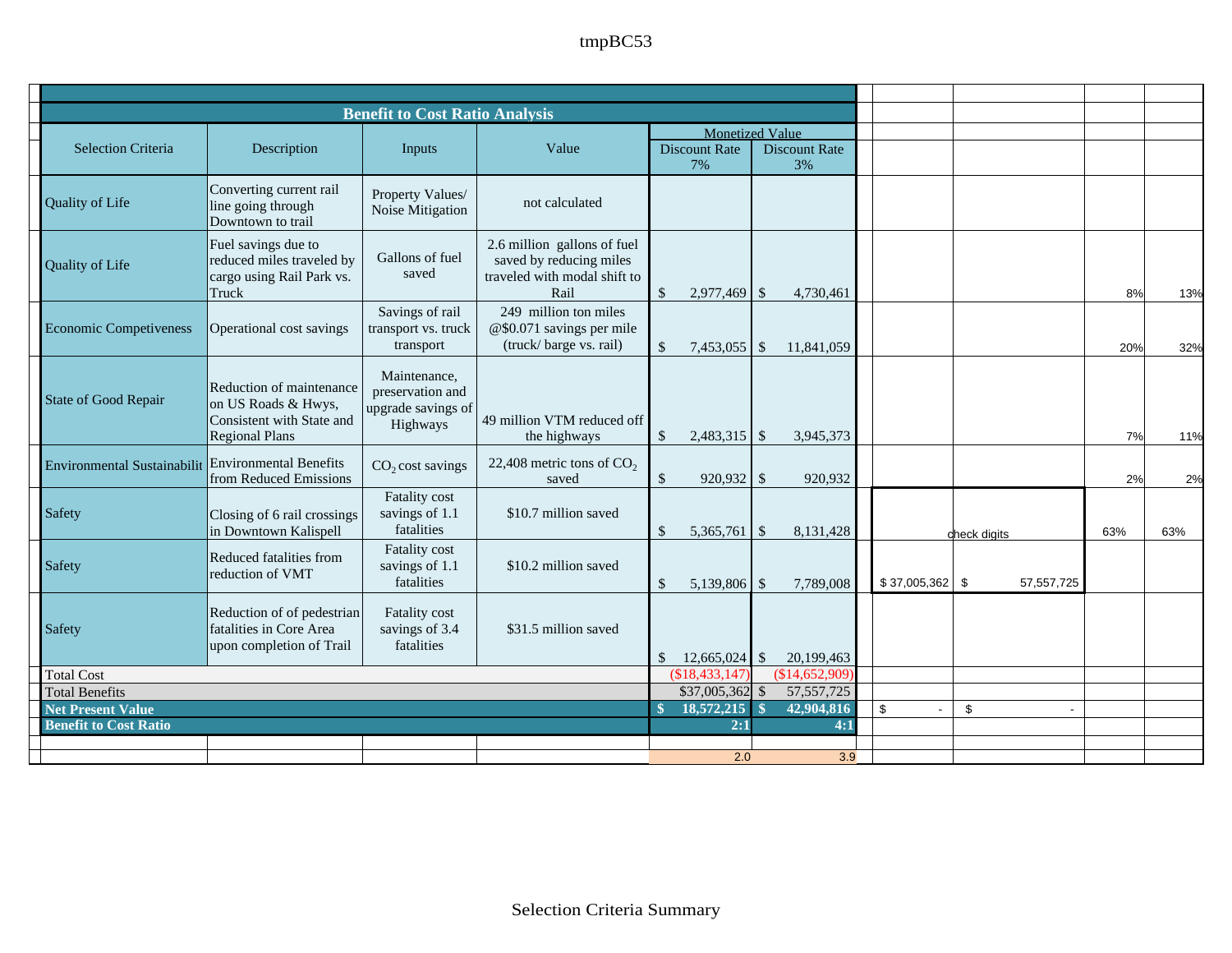|                                                    |                                                                                                       | <b>Benefit to Cost Ratio Analysis</b>                              |                                                                                                |               |                                                      |               |                            |                      |               |                |     |     |
|----------------------------------------------------|-------------------------------------------------------------------------------------------------------|--------------------------------------------------------------------|------------------------------------------------------------------------------------------------|---------------|------------------------------------------------------|---------------|----------------------------|----------------------|---------------|----------------|-----|-----|
| <b>Selection Criteria</b>                          | Description                                                                                           | Inputs                                                             | Value                                                                                          |               | <b>Monetized Value</b><br><b>Discount Rate</b><br>7% |               | <b>Discount Rate</b><br>3% |                      |               |                |     |     |
| Quality of Life                                    | Converting current rail<br>line going through<br>Downtown to trail                                    | Property Values/<br>Noise Mitigation                               | not calculated                                                                                 |               |                                                      |               |                            |                      |               |                |     |     |
| <b>Quality of Life</b>                             | Fuel savings due to<br>reduced miles traveled by<br>cargo using Rail Park vs.<br>Truck                | Gallons of fuel<br>saved                                           | 2.6 million gallons of fuel<br>saved by reducing miles<br>traveled with modal shift to<br>Rail | $\mathbb{S}$  | 2,977,469                                            | $\mathcal{S}$ | 4,730,461                  |                      |               |                | 8%  | 13% |
| <b>Economic Competiveness</b>                      | Operational cost savings                                                                              | Savings of rail<br>transport vs. truck<br>transport                | 249 million ton miles<br>@\$0.071 savings per mile<br>(truck/barge vs. rail)                   | $\mathbb{S}$  | 7,453,055                                            | $\mathcal{S}$ | 11,841,059                 |                      |               |                | 20% | 32% |
| State of Good Repair                               | Reduction of maintenance<br>on US Roads & Hwys,<br>Consistent with State and<br><b>Regional Plans</b> | Maintenance,<br>preservation and<br>upgrade savings of<br>Highways | 49 million VTM reduced off<br>the highways                                                     | $\mathbb{S}$  | 2,483,315                                            | \$            | 3,945,373                  |                      |               |                | 7%  | 11% |
| Environmental Sustainabilit Environmental Benefits | from Reduced Emissions                                                                                | CO <sub>2</sub> cost savings                                       | 22,408 metric tons of $CO2$<br>saved                                                           | $\sqrt{2}$    | $920,932$ \$                                         |               | 920,932                    |                      |               |                | 2%  | 2%  |
| Safety                                             | Closing of 6 rail crossings<br>in Downtown Kalispell                                                  | Fatality cost<br>savings of 1.1<br>fatalities                      | \$10.7 million saved                                                                           | \$            | 5,365,761                                            | $\mathcal{S}$ | 8,131,428                  |                      |               | check digits   | 63% | 63% |
| Safety                                             | Reduced fatalities from<br>reduction of VMT                                                           | Fatality cost<br>savings of 1.1<br>fatalities                      | \$10.2 million saved                                                                           | $\mathbb{S}$  | 5,139,806                                            | $\mathcal{S}$ | 7,789,008                  | \$37,005,362         | \$            | 57,557,725     |     |     |
| Safety                                             | Reduction of of pedestrian<br>fatalities in Core Area<br>upon completion of Trail                     | <b>Fatality</b> cost<br>savings of 3.4<br>fatalities               | \$31.5 million saved                                                                           | \$            | $12,665,024$ \$                                      |               | 20,199,463                 |                      |               |                |     |     |
| <b>Total Cost</b>                                  |                                                                                                       |                                                                    |                                                                                                |               | \$18,433,147                                         |               | \$14,652,909               |                      |               |                |     |     |
| <b>Total Benefits</b>                              |                                                                                                       |                                                                    |                                                                                                |               | $$37,005,362$ \\$                                    |               | 57, 557, 725               |                      |               |                |     |     |
| <b>Net Present Value</b>                           |                                                                                                       |                                                                    |                                                                                                | $\mathbf{\$}$ | $18,572,215$ \$                                      |               | 42,904,816                 | \$<br>$\blacksquare$ | $\mathfrak s$ | $\blacksquare$ |     |     |
| <b>Benefit to Cost Ratio</b>                       |                                                                                                       |                                                                    |                                                                                                |               | 2:1                                                  |               | 4:1                        |                      |               |                |     |     |
|                                                    |                                                                                                       |                                                                    |                                                                                                |               | 2.0                                                  |               | 3.9                        |                      |               |                |     |     |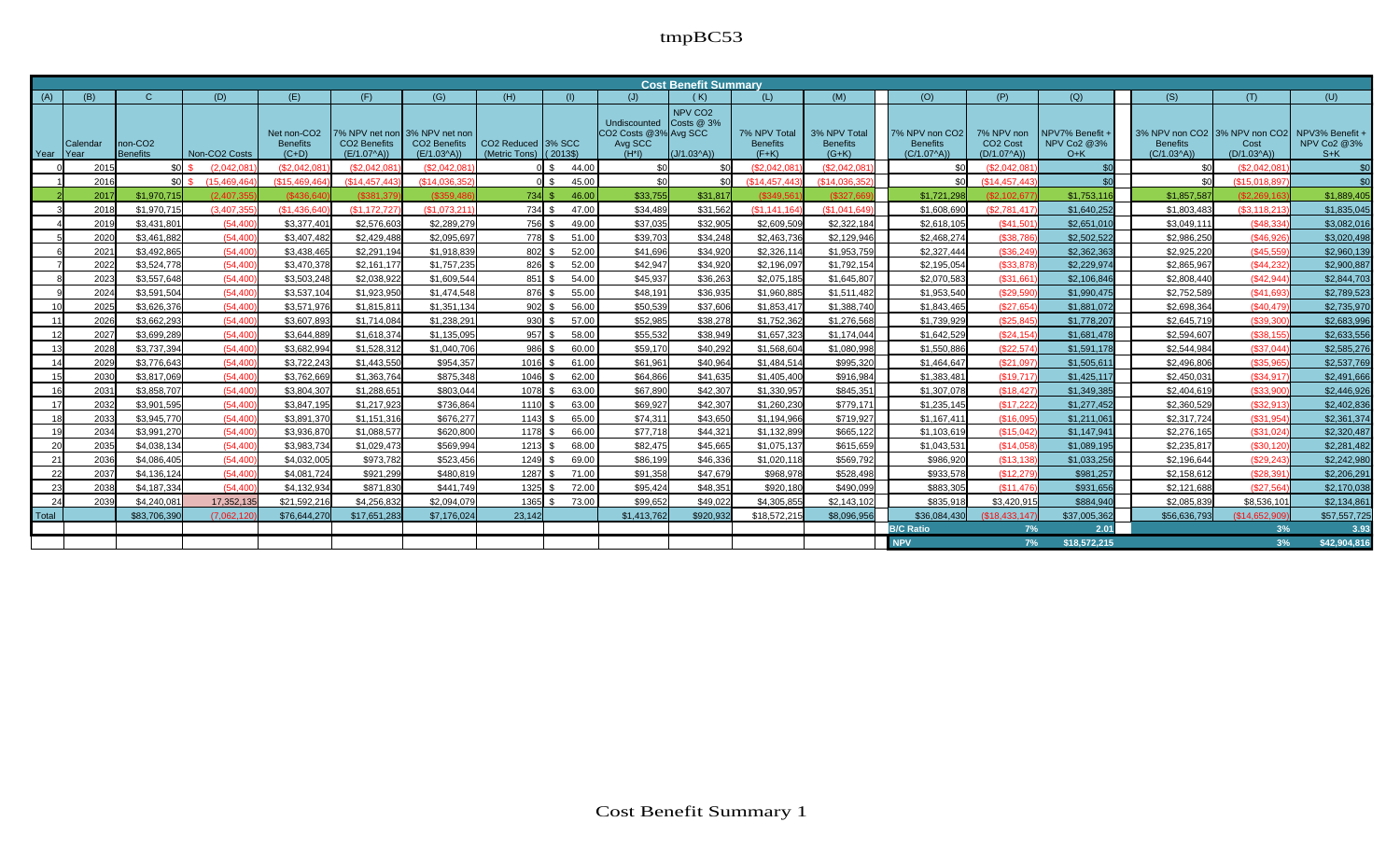|       | <b>Cost Benefit Summary</b><br>(D)<br>(O)<br>(P)<br>(Q)<br>(S)<br>(B)<br>$\mathbf{C}$<br>(E)<br>(F)<br>(G)<br>(H)<br>(M)<br>(T)<br>(U)<br>(J)<br>(K)<br>(L)<br>(1) |                                 |                             |                                                       |                                     |                                                                           |                                                 |          |                                                              |                                                   |                                            |                                            |                                                   |                                                    |                                                |                                 |                                                                       |                             |
|-------|--------------------------------------------------------------------------------------------------------------------------------------------------------------------|---------------------------------|-----------------------------|-------------------------------------------------------|-------------------------------------|---------------------------------------------------------------------------|-------------------------------------------------|----------|--------------------------------------------------------------|---------------------------------------------------|--------------------------------------------|--------------------------------------------|---------------------------------------------------|----------------------------------------------------|------------------------------------------------|---------------------------------|-----------------------------------------------------------------------|-----------------------------|
| (A)   |                                                                                                                                                                    |                                 |                             |                                                       |                                     |                                                                           |                                                 |          |                                                              |                                                   |                                            |                                            |                                                   |                                                    |                                                |                                 |                                                                       |                             |
| Year  | Calendar<br><b>IYear</b>                                                                                                                                           | non-CO <sub>2</sub><br>Benefits | Non-CO <sub>2</sub> Costs   | Net non-CO <sub>2</sub><br><b>Benefits</b><br>$(C+D)$ | <b>CO2 Benefits</b><br>$(E/1.07^A)$ | 7% NPV net non 3% NPV net non<br>CO <sub>2</sub> Benefits<br>$(E/1.03^A)$ | CO <sub>2</sub> Reduced 3% SCC<br>(Metric Tons) | $(2013\$ | Undiscounted<br>CO2 Costs @3% Avg SCC<br>Avg SCC<br>$(H^*I)$ | NPV CO <sub>2</sub><br>Costs @ 3%<br>$(J/1.03^A)$ | 7% NPV Total<br><b>Benefits</b><br>$(F+K)$ | 3% NPV Total<br><b>Benefits</b><br>$(G+K)$ | 7% NPV non CO2<br><b>Benefits</b><br>$(C/1.07^A)$ | 7% NPV non<br>CO <sub>2</sub> Cost<br>$(D/1.07^A)$ | NPV7% Benefit +<br><b>NPV Co2 @3%</b><br>$O+K$ | <b>Benefits</b><br>$(C/1.03^A)$ | 3% NPV non CO2 3% NPV non CO2 NPV3% Benefit +<br>Cost<br>$(D/1.03^A)$ | <b>NPV Co2 @3%</b><br>$S+K$ |
|       | 2015                                                                                                                                                               | \$0                             | (2.042.081)                 | (S2.042.08)                                           | (\$2,042.08                         | (\$2.042.08                                                               |                                                 | 44.00    |                                                              | <b>\$C</b>                                        | (\$2.042.08)                               | (S2.042.08)                                |                                                   | (\$2.042.081                                       |                                                |                                 | \$2.042.08                                                            | \$0                         |
|       | 2016                                                                                                                                                               | sol.                            | (15.469.464<br>$\mathbf{S}$ | (S15.469.46)                                          | (\$14,457,44)                       | (S14.036.35)                                                              |                                                 | 45.00    | \$0                                                          | .\$በ                                              | (\$14,457,443)                             | (\$14.036.35)                              |                                                   | \$14.457.443                                       |                                                | \$0                             | (\$15,018,897                                                         | \$0                         |
|       | 2017                                                                                                                                                               | \$1,970,715                     | (2.407.35)                  | (S436.6)                                              | (S381.37)                           | (.83594)                                                                  | $734$ \$                                        | 46.00    | \$33,755                                                     | \$31,817                                          | $($ \$349.56 $)$                           | (S327.66)                                  | \$1,721,298                                       | (S2.102.67)                                        | \$1,753,11                                     | \$1,857,587                     | (S2.269.16)                                                           | \$1,889,405                 |
|       | 2018                                                                                                                                                               | \$1,970,715                     | (3.407.355)                 | (S1.436.640)                                          | (S1.172.72)                         | (S1.073.21)                                                               | 734 S                                           | 47.00    | \$34,489                                                     | \$31,562                                          | (S1.141.164)                               | (\$1,041,649                               | \$1,608,690                                       | (\$2,781,417                                       | \$1,640,252                                    | \$1,803,483                     | (S3.118.213)                                                          | \$1,835,045                 |
|       | 2019                                                                                                                                                               | \$3,431,801                     | (54.400)                    | \$3.377.40                                            | \$2,576,603                         | \$2,289,279                                                               | 756 S                                           | 49.00    | \$37,035                                                     | \$32,905                                          | \$2,609.509                                | \$2,322,184                                | \$2,618,10                                        | (S41.501)                                          | \$2,651,010                                    | \$3.049.111                     | (\$48,334)                                                            | \$3,082,016                 |
|       | 2020                                                                                                                                                               | \$3,461,882                     | (54.400)                    | \$3,407,482                                           | \$2,429,488                         | \$2.095.697                                                               | 778 S                                           | 51.00    | \$39,703                                                     | \$34.248                                          | \$2,463,736                                | \$2,129,946                                | \$2,468,274                                       | (\$38,786                                          | \$2,502.522                                    | \$2,986,250                     | (S46.92)                                                              | \$3,020,498                 |
|       | 2021                                                                                                                                                               | \$3,492,865                     | (54.400)                    | \$3.438.465                                           | \$2,291.194                         | \$1.918.839                                                               | $802$ $\sqrt{5}$                                | 52.00    | \$41.696                                                     | \$34.920                                          | \$2.326.11                                 | \$1,953,759                                | \$2,327,444                                       | $($ \$36.249                                       | \$2,362,363                                    | \$2.925.220                     | (\$45.55\$                                                            | \$2,960,139                 |
|       | 2022                                                                                                                                                               | \$3,524,778                     | (54, 400)                   | \$3,470,378                                           | \$2,161,177                         | \$1,757,235                                                               | $826$ \$                                        | 52.00    | \$42,947                                                     | \$34,920                                          | \$2,196,097                                | \$1,792,154                                | \$2,195,054                                       | (\$33,878)                                         | \$2,229,974                                    | \$2,865,967                     | (\$44,232                                                             | \$2,900,887                 |
|       | 2023                                                                                                                                                               | \$3,557,648                     | (54.400)                    | \$3,503,248                                           | \$2.038.922                         | \$1.609.544                                                               | $851$ $\sqrt{5}$                                | 54.00    | \$45,937                                                     | \$36,263                                          | \$2,075,185                                | \$1,645,807                                | \$2,070,583                                       | ( \$31.661                                         | \$2,106.846                                    | \$2,808,440                     | (S42.944)                                                             | \$2,844,703                 |
|       | 2024                                                                                                                                                               | \$3,591,504                     | (54.400)                    | \$3,537,104                                           | \$1,923,950                         | \$1,474,548                                                               | $876$ $\sqrt{5}$                                | 55.00    | \$48,191                                                     | \$36.935                                          | \$1,960,885                                | \$1,511,482                                | \$1,953,54                                        | (S29.590)                                          | \$1,990,475                                    | \$2,752,589                     | (S41.69)                                                              | \$2,789,523                 |
|       | 2025                                                                                                                                                               | \$3,626,376                     | (54, 400)                   | \$3,571,976                                           | \$1,815,811                         | \$1,351,134                                                               | $902$ $\frac{1}{3}$                             | 56.00    | \$50,539                                                     | \$37,606                                          | \$1,853,41                                 | \$1,388,740                                | \$1,843,46                                        | (\$27,654                                          | \$1,881,072                                    | \$2,698,364                     | (\$40,47\$                                                            | \$2,735,970                 |
|       | 2026                                                                                                                                                               | \$3,662,293                     | (54.400)                    | \$3,607.893                                           | \$1.714.084                         | \$1.238.291                                                               | $930$ $\frac{1}{3}$                             | 57.00    | \$52.985                                                     | \$38,278                                          | \$1,752,362                                | \$1,276,568                                | \$1,739,929                                       | (S25.845)                                          | \$1,778,207                                    | \$2,645,719                     | $($ \$39.30 $($                                                       | \$2,683,996                 |
|       | 2027                                                                                                                                                               | \$3,699,289                     | (54, 400)                   | \$3,644,889                                           | \$1,618,374                         | \$1,135,095                                                               | $957$ \$                                        | 58.00    | \$55,532                                                     | \$38,949                                          | \$1,657,323                                | \$1,174,044                                | \$1,642,529                                       | (\$24, 154                                         | \$1,681,478                                    | \$2,594,607                     | ( \$38.155                                                            | \$2,633,556                 |
|       | 2028                                                                                                                                                               | \$3,737,394                     | (54, 400)                   | \$3,682,994                                           | \$1,528,312                         | \$1,040,706                                                               | $986$ \$                                        | 60.00    | \$59,170                                                     | \$40,292                                          | \$1,568,604                                | \$1,080,998                                | \$1,550,88                                        | (\$22,574                                          | \$1,591,178                                    | \$2,544,984                     | (\$37,044                                                             | \$2,585,276                 |
|       | 2029                                                                                                                                                               | \$3,776,643                     | (54.400)                    | \$3.722.243                                           | \$1,443,550                         | \$954.357                                                                 | $1016$ $\sqrt{5}$                               | 61.00    | \$61.961                                                     | \$40.964                                          | \$1,484.514                                | \$995,320                                  | \$1,464.64                                        | (\$21.097                                          | \$1,505.611                                    | \$2,496,806                     | (\$35,965                                                             | \$2,537,769                 |
|       | 2030                                                                                                                                                               | \$3,817,069                     | (54, 400)                   | \$3,762,669                                           | \$1,363,764                         | \$875,348                                                                 | 1046                                            | 62.00    | \$64,866                                                     | \$41.635                                          | \$1,405,400                                | \$916,984                                  | \$1,383,48                                        | (\$19,71]                                          | \$1,425,117                                    | \$2,450,031                     | (\$34,91]                                                             | \$2,491,666                 |
|       | 2031                                                                                                                                                               | \$3,858,707                     | (54.400)                    | \$3,804.307                                           | \$1,288,651                         | \$803.044                                                                 | 1078 \$                                         | 63.00    | \$67,890                                                     | \$42,307                                          | \$1,330,957                                | \$845.351                                  | \$1,307,078                                       | (S18.427)                                          | \$1,349,385                                    | \$2,404.619                     | $($ \$33,90 $($                                                       | \$2,446.926                 |
|       | 2032                                                                                                                                                               | \$3,901,595                     | (54.400)                    | \$3.847.195                                           | \$1,217,923                         | \$736.864                                                                 | $1110$ $\sqrt{5}$                               | 63.00    | \$69,927                                                     | \$42.307                                          | \$1,260,230                                | \$779,171                                  | \$1,235,145                                       | (\$17,222                                          | \$1,277,452                                    | \$2,360,529                     | (S32.913)                                                             | \$2,402,836                 |
|       | 2033                                                                                                                                                               | \$3,945,770                     | (54.400)                    | \$3,891,370                                           | \$1,151,316                         | \$676.277                                                                 | $1143$ $\frac{1}{3}$                            | 65.00    | \$74,311                                                     | \$43,650                                          | \$1,194,966                                | \$719,927                                  | \$1,167,41                                        | (\$16.09                                           | \$1,211,06                                     | \$2,317,724                     | (\$31,954)                                                            | \$2,361,374                 |
|       | 2034                                                                                                                                                               | \$3,991,270                     | (54.400)                    | \$3.936.870                                           | \$1.088.577                         | \$620,800                                                                 | $1178$ $\sqrt{5}$                               | 66.00    | \$77,718                                                     | \$44.32                                           | \$1,132,899                                | \$665.122                                  | \$1.103.61                                        | (S15.042)                                          | \$1,147.94                                     | \$2,276.165                     | (S31.024)                                                             | \$2,320,487                 |
| 20    | 2035                                                                                                                                                               | \$4,038,134                     | (54, 400)                   | \$3,983,734                                           | \$1,029,473                         | \$569.994                                                                 | $1213$ $\sqrt{5}$                               | 68.00    | \$82,475                                                     | \$45,665                                          | \$1,075,137                                | \$615,659                                  | \$1,043,53                                        | (\$14,058                                          | \$1,089,195                                    | \$2,235,817                     | (\$30, 120                                                            | \$2,281,482                 |
| 21    | 2036                                                                                                                                                               | \$4,086,405                     | (54.400)                    | \$4,032,005                                           | \$973,782                           | \$523.456                                                                 | $1249$ \$                                       | 69.00    | \$86,199                                                     | \$46,336                                          | \$1,020,118                                | \$569,792                                  | \$986,920                                         | (\$13, 13                                          | \$1,033,256                                    | \$2,196,644                     | (\$29, 24)                                                            | \$2,242,980                 |
| 22    | 2037                                                                                                                                                               | \$4,136,124                     | (54.400)                    | \$4,081,724                                           | \$921.299                           | \$480,819                                                                 | 1287                                            | 71.00    | \$91.358                                                     | \$47.679                                          | \$968,978                                  | \$528,498                                  | \$933.578                                         | (\$12.279                                          | \$981,257                                      | \$2,158,612                     | (\$28.391                                                             | \$2,206,291                 |
| -23   | 2038                                                                                                                                                               | \$4,187,334                     | (54, 400)                   | \$4,132,934                                           | \$871,830                           | \$441,749                                                                 | $1325$ \$                                       | 72.00    | \$95,424                                                     | \$48,35'                                          | \$920,180                                  | \$490,099                                  | \$883,305                                         | \$11,476                                           | \$931,656                                      | \$2,121,688                     | (\$27.564)                                                            | \$2,170,038                 |
| 24    | 2039                                                                                                                                                               | \$4,240,081                     | 17,352,135                  | \$21,592,216                                          | \$4,256,832                         | \$2,094,079                                                               | $1365$ \$                                       | 73.00    | \$99,652                                                     | \$49,022                                          | \$4,305,855                                | \$2,143,102                                | \$835.918                                         | \$3,420,915                                        | \$884,940                                      | \$2,085,839                     | \$8,536,101                                                           | \$2,134,861                 |
| Total |                                                                                                                                                                    | \$83,706,390                    | (7.062.120                  | \$76,644,270                                          | \$17,651,283                        | \$7,176,024                                                               | 23,142                                          |          | \$1,413,762                                                  | \$920,932                                         | \$18,572,215                               | \$8,096,956                                | \$36,084,430                                      | (\$18,433,147)                                     | \$37,005,362                                   | \$56,636,793                    | (\$14,652,909                                                         | \$57,557,725                |
|       |                                                                                                                                                                    |                                 |                             |                                                       |                                     |                                                                           |                                                 |          |                                                              |                                                   |                                            |                                            | <b>B/C Ratio</b>                                  | 7%                                                 | 2.01                                           |                                 | 3%                                                                    | 3.93                        |
|       |                                                                                                                                                                    |                                 |                             |                                                       |                                     |                                                                           |                                                 |          |                                                              |                                                   |                                            |                                            | <b>NPV</b>                                        | 7%                                                 | \$18,572,215                                   |                                 | 3%                                                                    | \$42,904,816                |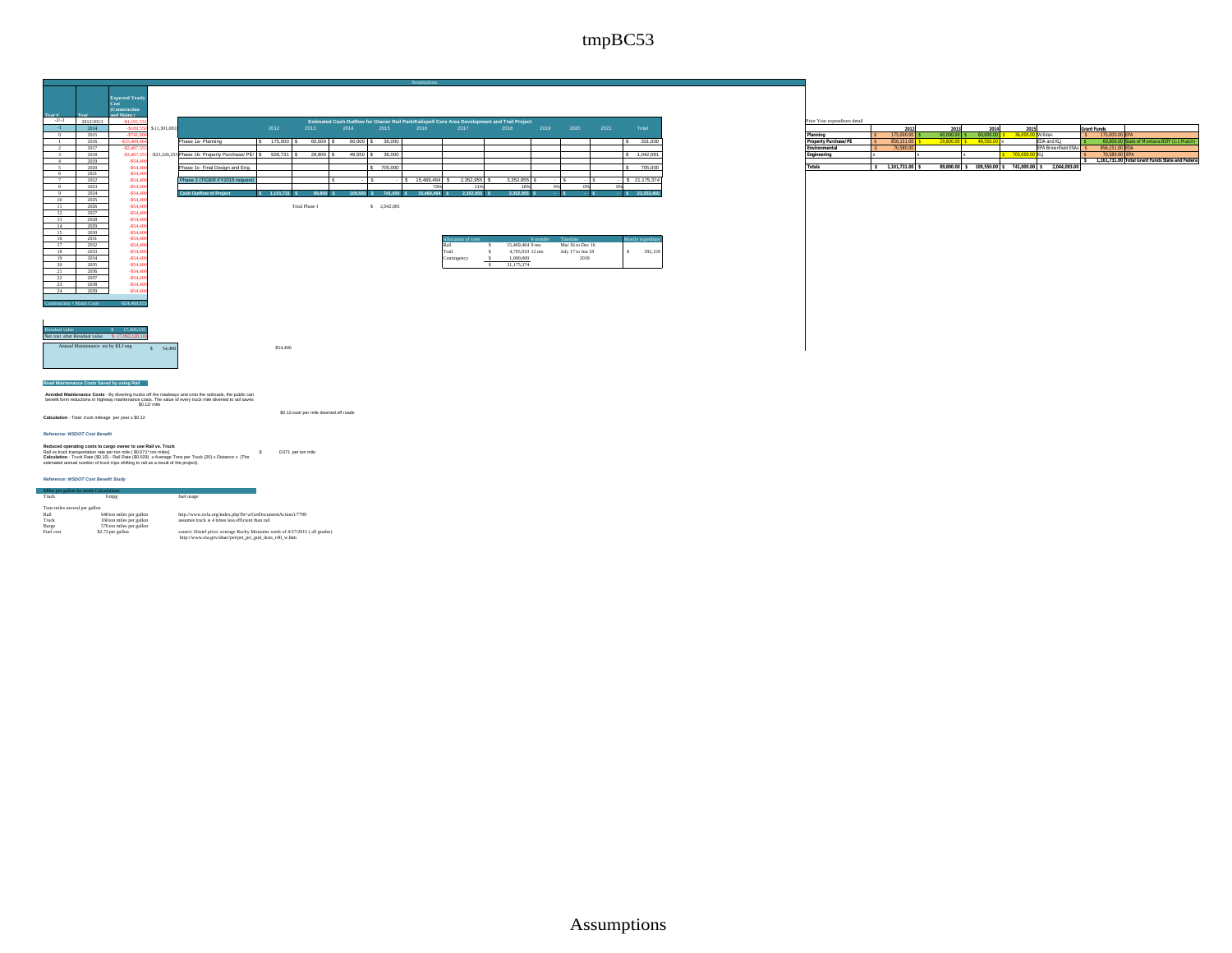

|           | Construction |                        |                                                                         |               |           |      |                                                                                                 |                                                                                                |           |           |  |                |               |
|-----------|--------------|------------------------|-------------------------------------------------------------------------|---------------|-----------|------|-------------------------------------------------------------------------------------------------|------------------------------------------------------------------------------------------------|-----------|-----------|--|----------------|---------------|
|           | and Maint.)  |                        |                                                                         |               |           |      |                                                                                                 |                                                                                                |           |           |  |                |               |
| 2012/2013 |              |                        |                                                                         |               |           |      |                                                                                                 | Estimated Cash Outflow for Glacier Rail Park/Kalispell Core Area Development and Trail Project |           |           |  |                |               |
| 2014      |              | $09.550$ S (1.301.081) |                                                                         | 2012          | 2013      | 2014 | 2015                                                                                            | 2016                                                                                           | 2017      | 2018      |  | 2019 2020 2021 | Total         |
| 2015      |              |                        |                                                                         |               |           |      |                                                                                                 |                                                                                                |           |           |  |                |               |
| 2016      |              |                        | Phase 1a- Planning                                                      | 175,000 S     | 60,000 S  |      | 60,000 \$ 36,000                                                                                |                                                                                                |           |           |  |                | 331,000       |
| 2017      | $-52.407.3$  |                        |                                                                         |               |           |      |                                                                                                 |                                                                                                |           |           |  |                |               |
| 2018      |              |                        | -\$3,407,355 -\$23,326,255 Phase 1b- Property Purchase/ PE/ S 926,731 S |               | 29,800 S  |      | 49,550 \$ 36,000                                                                                |                                                                                                |           |           |  |                | \$1.042.081   |
| 2019      | \$54.40      |                        |                                                                         |               |           |      |                                                                                                 |                                                                                                |           |           |  |                |               |
| 2020      | \$54.40      |                        | Phase 1c- Final Design and Eng.                                         |               |           |      | 705,000                                                                                         |                                                                                                |           |           |  |                | 705,000       |
| 2021      | \$54.40      |                        |                                                                         |               |           |      |                                                                                                 |                                                                                                |           |           |  |                |               |
| 2022      | \$54.40      |                        | 2 (TIGER FY2015 request)                                                |               |           |      |                                                                                                 | 15,469,464                                                                                     | 2.352.955 | 3.352.955 |  |                | \$ 21,175,374 |
| 2023      | \$54.4       |                        |                                                                         |               |           |      |                                                                                                 |                                                                                                |           |           |  |                |               |
| 2024      | \$54.40      |                        | <b>Cash Outflow of Project</b>                                          | $1.101.731$ S | 89,800 \$ |      | 109.550 \$ 741.000 \$                                                                           | 15,469,464 \$                                                                                  | 2.352.955 | 3.352.955 |  |                | 23.253.45     |
|           | \$54.4       |                        |                                                                         |               |           |      |                                                                                                 |                                                                                                |           |           |  |                |               |
| __        |              |                        |                                                                         |               |           |      | the contract of the contract of the contract of the contract of the contract of the contract of |                                                                                                |           |           |  |                |               |

| ise I | ś |
|-------|---|
|       |   |

 $$54,400$ 

| ------   |  |                |                 |                   |                    |
|----------|--|----------------|-----------------|-------------------|--------------------|
| \$54,400 |  | stion of costs | # months        | Timeline          | Montly expediture. |
| \$54,400 |  | Rail           | 15,469,464 9 mo | Mar 16 to Dec 16  |                    |
| \$54,400 |  | Trail          | 4,705,910 12 mo | July 17 to Jun 18 | 392.159            |
| \$54,400 |  | Contingency    | 1,000,000       | 2018              |                    |
| \$54,400 |  |                | 21.175.374      |                   |                    |

| Prior Year expenditure detail |              |           |             |                  |                             |                    |                                                 |
|-------------------------------|--------------|-----------|-------------|------------------|-----------------------------|--------------------|-------------------------------------------------|
|                               | 2012         | 2013      | 2014        | 2015             |                             | <b>Grant Funds</b> |                                                 |
| Planning                      | 175,000.00   | 60.000.00 | 60.000.00   | 36.000.00 Wildan |                             | 175,000.00 EPA     |                                                 |
| Property Purchase/PE          | 856.151.00   | 29.800.00 | 49.550.00 > |                  | FDA and KLI                 |                    | 60,000.00 State of Montana BSTF (1:1 Match)     |
| Environmental                 | 70.580.00    |           |             |                  | <b>IEPA Brownfield ESAs</b> | 856.151.00 EDA     |                                                 |
| Engineering                   |              |           |             | 705.000.00 KLJ   |                             | 70.580.00 FPA      |                                                 |
|                               |              |           |             |                  |                             |                    | 1.161.731.00 Total Grant Funds State and Federa |
| <b>Totals</b>                 | 1.101.731.00 | 89,800.00 | 109.550.00  | 741.000.00       | 2.044.093.00                |                    |                                                 |



#### **Road Maintenance Costs Saved by using Rail**

Avoided Maintenance Costs - By diverting trucks off the roadways and onto the railroads, the public can<br>benefit form reductions in highway maintenance costs. The value of every truck mile diverted to rail saves<br>\$0.12/ mile

\$0.12cost/ per mile diverted off roads **calculation** - Total truck mileage per year x \$0.12

*Referecne: WSDOT Cost Benefit*

Reduced operating costs to cargo owner to use Rail vs. Truck<br>Rail vs truck transportation rate per ton mile ( \$0.071\* ton miles)<br>Calculation - Truck Rais (\$0.10) - Rail Rais (\$0.029) x Average Tors per Truck (20) x Distanc

#### *Reference: WSDOT Cost Benefit Study*

| Truck                       | 6 mpg                    | fuel usage                                                                  |
|-----------------------------|--------------------------|-----------------------------------------------------------------------------|
|                             |                          |                                                                             |
| Tons miles moved per gallon |                          |                                                                             |
| Rail                        | 640 ton miles per gallon | http://www.iwla.org/index.php?ht=a/GetDocumentAction/i/7799                 |
| Truck                       | 160 ton miles per gallon | assumes truck is 4 times less efficient than rail                           |
| Barge                       | 576 ton miles per gallon |                                                                             |
| Fuel cost                   | \$2.73 per gallon        | source: Desiel price: average Rocky Moutains week of 4/27/2015 (all grades) |
|                             |                          | http://www.eia.gov/dnav/pet/pet_pri_gnd_dcus_r40_w.htm                      |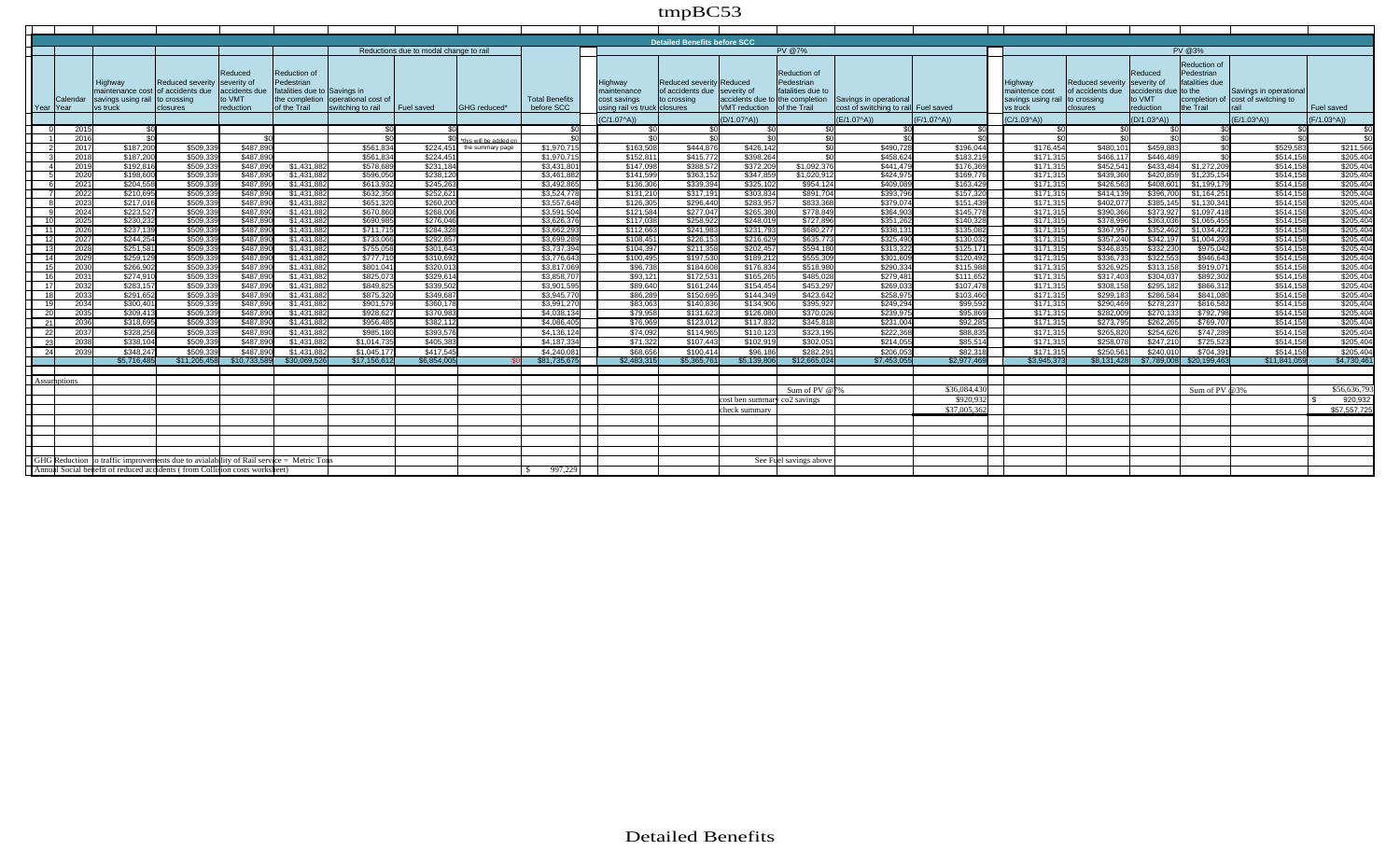| <b>Detailed Benefits before SCC</b> |                    |                                                                                         |                              |               |                              |                                     |                                        |                                                     |                       |                              |                               |                                 |                        |                                       |              |                   |                  |                      |                            |                                    |             |
|-------------------------------------|--------------------|-----------------------------------------------------------------------------------------|------------------------------|---------------|------------------------------|-------------------------------------|----------------------------------------|-----------------------------------------------------|-----------------------|------------------------------|-------------------------------|---------------------------------|------------------------|---------------------------------------|--------------|-------------------|------------------|----------------------|----------------------------|------------------------------------|-------------|
|                                     |                    |                                                                                         |                              |               |                              |                                     | Reductions due to modal change to rail |                                                     |                       |                              |                               |                                 | <b>PV @7%</b>          |                                       |              |                   |                  |                      | <b>PV @3%</b>              |                                    |             |
|                                     |                    |                                                                                         |                              |               |                              |                                     |                                        |                                                     |                       |                              |                               |                                 |                        |                                       |              |                   |                  |                      |                            |                                    |             |
|                                     |                    |                                                                                         |                              |               |                              |                                     |                                        |                                                     |                       |                              |                               |                                 | <b>Reduction of</b>    |                                       |              |                   |                  | Reduced              | Reduction of<br>Pedestrian |                                    |             |
|                                     |                    | Highway                                                                                 | Reduced severity severity of | Reduced       | Reduction of<br>Pedestrian   |                                     |                                        |                                                     |                       | Highway                      | Reduced severity Reduced      |                                 | Pedestrian             |                                       |              | Highway           | Reduced severity | severity of          | fatalities due             |                                    |             |
|                                     |                    | maintenance cost                                                                        | of accidents due             | accidents due | fatalities due to Savings in |                                     |                                        |                                                     |                       | maintenance                  | of accidents due Iseverity of |                                 | fatalities due to      |                                       |              | maintence cost    | of accidents due | accidents due to the |                            | Savings in operationa              |             |
|                                     | Calenda            | savings using rail                                                                      | to crossing                  | to VMT        |                              | the completion loperational cost of |                                        |                                                     | <b>Total Benefits</b> | cost savings                 | to crossing                   | accidents due to the completion |                        | <b>Savings in operational</b>         |              | savings using rai | to crossing      | to VMT               |                            | completion of cost of switching to |             |
|                                     | l Year IYear       | vs truck                                                                                | closures                     | reduction     | of the Trail                 | switching to rail                   | Fuel saved                             | <b>IGHG</b> reduced*                                | before SCC            | using rail vs truck closures |                               | <b>VMT</b> reduction            | of the Trail           | cost of switching to raill Fuel saved |              | vs truck          | <b>closures</b>  | <b>reduction</b>     | the Trail                  | rail                               | Fuel saved  |
|                                     |                    |                                                                                         |                              |               |                              |                                     |                                        |                                                     |                       | $(C/1.07^A)$                 |                               | $(D/1.07^A)$                    |                        | (E/1.07^A))                           | $(F/1.07^A)$ | $(C/1.03^A)$      |                  | $(D/1.03^A)$         |                            | $(E/1.03^A)$                       | (F/1.03^A)) |
|                                     | 2015               | \$0                                                                                     |                              |               |                              | \$0                                 | \$0                                    |                                                     | \$0                   | \$0                          | \$0                           | ፍሰ                              | \$0                    |                                       | \$0          | \$በ               | പേ               |                      | \$0                        | - \$0                              | \$0         |
|                                     | 2016               | \$0                                                                                     |                              | \$0           |                              | \$0                                 | \$0                                    |                                                     | \$0                   | <b>\$0</b>                   | \$0                           | \$0                             | $\overline{50}$        | ፍር                                    | $\sqrt{2}$   | \$0               | പേ               | ፍር                   | 50                         | $\overline{30}$                    | ፍር          |
|                                     | 2017               | \$187,200                                                                               | \$509.339                    | \$487.890     |                              | \$561.834                           |                                        | this will be added or<br>\$224.451 the summary page | \$1,970.715           | \$163,508                    | \$444.876                     | \$426,142                       | SO                     | \$490.72                              | \$196.044    | \$176,454         | \$480.101        | \$459,883            | $\overline{30}$            | \$529,583                          | \$211,56    |
|                                     | 2018               | \$187,200                                                                               | \$509,339                    | \$487,890     |                              | \$561,834                           | \$224.451                              |                                                     | \$1,970,715           | \$152,81                     | \$415,772                     | \$398,264                       | ഭവ                     | \$458.62                              | \$183,21     | \$171.31          | \$466.117        | \$446,489            | \$0.                       | \$514,158                          | \$205,40    |
|                                     | 2019               | \$192,816                                                                               | \$509,339                    | \$487,890     | \$1,431,882                  | \$578,689                           | \$231,184                              |                                                     | \$3,431,801           | \$147.098                    | \$388,572                     | \$372.20                        | \$1,092,376            | \$441.47                              | \$176.36     | \$171.315         | \$452.541        | \$433.484            | \$1,272,209                | \$514,158                          | \$205,40    |
|                                     | 2020               | \$198,600                                                                               | \$509,339                    | \$487,890     | \$1,431,882                  | \$596.050                           | \$238,120                              |                                                     | \$3.461.882           | \$141,599                    | \$363.152                     | \$347.85                        | \$1,020,912            | \$424.97                              | \$169.77     | \$171.315         | \$439.36         | \$420,859            | \$1,235,154                | \$514.158                          | \$205,40    |
|                                     | 2021               | \$204,558                                                                               | \$509,339                    | \$487,890     | \$1,431,882                  | \$613,932                           | \$245.263                              |                                                     | \$3,492,865           | \$136,306                    | \$339.394                     | \$325.10                        | \$954.124              | \$409.08                              | \$163.429    | \$171.315         | \$426.56         | \$408.601            | \$1,199,179                | \$514,158                          | \$205.40    |
|                                     | 2022               | \$210,695                                                                               | \$509,339                    | \$487,890     | \$1,431,882                  | \$632,350                           | \$252.621                              |                                                     | \$3,524,778           | \$131,210                    | \$317,191                     | \$303.834                       | \$891,704              | \$393.79                              | \$157,32     | \$171.31          | \$414.13         | \$396,70             | \$1,164,251                | \$514,158                          | \$205,40    |
|                                     | 2023               | \$217.016                                                                               | \$509,339                    | \$487,890     | \$1,431,882                  | \$651,320                           | \$260,200                              |                                                     | \$3,557,648           | \$126,305                    | \$296.440                     | \$283.95                        | \$833.368              | \$379.07                              | \$151.43     | \$171.31          | \$402.07         | \$385,145            | \$1,130,341                | \$514.158                          | \$205,40    |
|                                     | 2024               | \$223.52                                                                                | \$509.339                    | \$487,890     | \$1,431,882                  | \$670,860                           | \$268,006                              |                                                     | \$3.591.504           | \$121,584                    | \$277.047                     | \$265,380                       | \$778,849              | \$364.90                              | \$145.778    | \$171.315         | \$390,366        | \$373.92             | \$1,097,418                | \$514.158                          | \$205,40    |
|                                     | 2025               | \$230,232                                                                               | \$509,339                    | \$487,890     | \$1,431,882                  | \$690.985                           | \$276,046                              |                                                     | \$3,626,37            | \$117,038                    | \$258,922                     | \$248.01                        | \$727,896              | \$351.26                              | \$140.32     | \$171.31          | \$378.99         | \$363.03             | \$1.065.455                | \$514,158                          | \$205.40    |
| 11                                  | 2026               | \$237.139                                                                               | \$509,339                    | \$487,890     | \$1,431,882                  | \$711.715                           | \$284.328                              |                                                     | \$3,662.29            | \$112,663                    | \$241,983                     | \$231.79                        | \$680,277              | \$338.13                              | \$135,082    | \$171.31          | \$367.95         | \$352,46             | \$1,034,422                | \$514.158                          | \$205,40    |
|                                     | 2027               | \$244.254                                                                               | \$509,339                    | \$487,890     | \$1,431,882                  | \$733,066                           | \$292,857                              |                                                     | \$3,699.28            | \$108,451                    | \$226,153                     | \$216,62                        | \$635,773              | \$325,490                             | \$130,032    | \$171.31          | \$357,240        | \$342,19             | \$1,004,293                | \$514,158                          | \$205,40    |
|                                     | 2028               | \$251.581                                                                               | \$509,339                    | \$487,890     | \$1,431,882                  | \$755,058                           | \$301.643                              |                                                     | \$3,737,394           | \$104,397                    | \$211,358                     | \$202.457                       | \$594,180              | \$313.32                              | \$125,171    | \$171.315         | \$346.83         | \$332,23             | \$975,042                  | \$514,158                          | \$205,40    |
|                                     | 2029               | \$259,129                                                                               | \$509,339                    | \$487,890     | \$1,431,882                  | \$777,710                           | \$310,692                              |                                                     | \$3,776,643           | \$100,495                    | \$197,530                     | \$189,212                       | \$555,309              | \$301.60                              | \$120.492    | \$171.315         | \$336,73         | \$322,55             | \$946,643                  | \$514,158                          | \$205,40    |
| 15 <sup>1</sup>                     | 2030               | \$266.902                                                                               | \$509.339                    | \$487,890     | \$1,431,882                  | \$801.041                           | \$320,013                              |                                                     | \$3,817,069           | \$96,738                     | \$184,608                     | \$176.834                       | \$518,980              | \$290.334                             | \$115,988    | \$171.315         | \$326.92         | \$313,158            | \$919,071                  | \$514.158                          | \$205,40    |
|                                     | 2031               | \$274,910                                                                               | \$509,339                    | \$487,890     | \$1,431,882                  | \$825,073                           | \$329.614                              |                                                     | \$3,858,70            | \$93.121                     | \$172,531                     | \$165,265                       | \$485,028              | \$279.48                              | \$111.652    | \$171,315         | \$317.40         | \$304.03             | \$892,302                  | \$514,158                          | \$205.40    |
|                                     | 2032               | \$283,157                                                                               | \$509,339                    | \$487,890     | \$1,431,882                  | \$849,825                           | \$339,502                              |                                                     | \$3,901.59            | \$89,640                     | \$161,244                     | \$154,454                       | \$453,297              | \$269.03                              | \$107,478    | \$171.315         | \$308,15         | \$295,18             | \$866,312                  | \$514,158                          | \$205,40    |
|                                     | 2033               | \$291,65                                                                                | \$509,339                    | \$487,890     | \$1,431,882                  | \$875,320                           | \$349,687                              |                                                     | \$3,945,77            | \$86,289                     | \$150,695                     | \$144,349                       | \$423,642              | \$258,97                              | \$103,460    | \$171,31          | \$299,18         | \$286,58             | \$841,080                  | \$514,158                          | \$205,40    |
|                                     | 2034               | \$300.40                                                                                | \$509,339                    | \$487,890     | \$1,431,882                  | \$901.579                           | \$360,178                              |                                                     | \$3,991.27            | \$83,063                     | \$140,836                     | \$134,906                       | \$395,927              | \$249.29                              | \$99,592     | \$171.31          | \$290,46         | \$278,23             | \$816,582                  | \$514,158                          | \$205,40    |
| <b>20</b>                           | 2035               | \$309.41                                                                                | \$509,339                    | \$487,890     | \$1,431,882                  | \$928,627                           | \$370.983                              |                                                     | \$4,038,134           | \$79,958                     | \$131,623                     | \$126,080                       | \$370.026              | \$239.97                              | \$95,86      | \$171,31          | \$282,00         | \$270,13             | \$792,798                  | \$514.158                          | \$205,40    |
|                                     | 2036               | \$318,695                                                                               | \$509.339                    | \$487,890     | \$1,431,882                  | \$956,485                           | \$382.112                              |                                                     | \$4,086,405           | \$76,969                     | \$123,012                     | \$117,832                       | \$345,818              | \$231.00                              | \$92,285     | \$171.315         | \$273,795        | \$262,265            | \$769,707                  | \$514.158                          | \$205.40    |
| 22                                  | 2037               | \$328,256                                                                               | \$509,339                    | \$487,890     | \$1,431,882                  | \$985,180                           | \$393,576                              |                                                     | \$4,136,124           | \$74,092                     | \$114,965                     | \$110,12                        | \$323,195              | \$222.36                              | \$88,835     | \$171,315         | \$265.82         | \$254,626            | \$747,289                  | \$514,158                          | \$205,40    |
|                                     | 2038               | \$338.104                                                                               | \$509.339                    | \$487,890     | \$1,431,882                  | \$1.014.735                         | \$405,383                              |                                                     | \$4,187,334           | \$71.322                     | \$107,443                     | \$102,919                       | \$302.051              | \$214.05                              | \$85.514     | \$171.315         | \$258.078        | \$247.210            | \$725.523                  | \$514,158                          | \$205,404   |
| 24                                  | 2039               | \$348.247                                                                               | \$509,339                    | \$487,890     | \$1,431,882                  | \$1,045.17                          | \$417,545                              |                                                     | \$4,240.08            | \$68,656                     | \$100.414                     | \$96,186                        | \$282.291              | \$206.05                              | \$82,318     | \$171,315         | \$250.561        | \$240.01             | \$704.391                  | \$514,158                          | \$205.40    |
|                                     |                    | \$5,716,485                                                                             | \$11.205.458                 | \$10,733,58   | \$30.069.52                  | \$17,156,61                         | \$6,854,005                            |                                                     | \$81,735.67           | \$2,483.31                   | \$5,365,761                   | \$5.139.80                      | \$12,665,024           | \$7,453.05                            | \$2,977.46   | \$3.945.37        | \$8.131.42       | \$7,789,008          | \$20,199,463               | \$11,841,059                       | \$4,730.46  |
|                                     |                    |                                                                                         |                              |               |                              |                                     |                                        |                                                     |                       |                              |                               |                                 |                        |                                       |              |                   |                  |                      |                            |                                    |             |
|                                     | <b>Assumptions</b> |                                                                                         |                              |               |                              |                                     |                                        |                                                     |                       |                              |                               |                                 |                        |                                       |              |                   |                  |                      |                            |                                    |             |
|                                     |                    |                                                                                         |                              |               |                              |                                     |                                        |                                                     |                       |                              |                               |                                 | Sum of PV $@79$        |                                       | \$36,084,430 |                   |                  |                      | Sum of PV @3%              |                                    | \$56,636.79 |
|                                     |                    |                                                                                         |                              |               |                              |                                     |                                        |                                                     |                       |                              |                               | cost ben summa                  | $\sqrt{1}$ co2 savings |                                       | \$920.932    |                   |                  |                      |                            |                                    | 920.932     |
|                                     |                    |                                                                                         |                              |               |                              |                                     |                                        |                                                     |                       |                              |                               | lcheck summar                   |                        |                                       | \$37,005,362 |                   |                  |                      |                            |                                    | \$57,557,72 |
|                                     |                    |                                                                                         |                              |               |                              |                                     |                                        |                                                     |                       |                              |                               |                                 |                        |                                       |              |                   |                  |                      |                            |                                    |             |
|                                     |                    |                                                                                         |                              |               |                              |                                     |                                        |                                                     |                       |                              |                               |                                 |                        |                                       |              |                   |                  |                      |                            |                                    |             |
|                                     |                    |                                                                                         |                              |               |                              |                                     |                                        |                                                     |                       |                              |                               |                                 |                        |                                       |              |                   |                  |                      |                            |                                    |             |
|                                     |                    |                                                                                         |                              |               |                              |                                     |                                        |                                                     |                       |                              |                               |                                 |                        |                                       |              |                   |                  |                      |                            |                                    |             |
|                                     |                    | GHG Reduction to traffic improvements due to avialability of Rail service = Metric Tons |                              |               |                              |                                     |                                        |                                                     |                       |                              |                               |                                 | See Fuel savings above |                                       |              |                   |                  |                      |                            |                                    |             |
|                                     |                    | Annual Social benefit of reduced acqidents (from Collision costs worksheet)             |                              |               |                              |                                     |                                        |                                                     | 997,229               |                              |                               |                                 |                        |                                       |              |                   |                  |                      |                            |                                    |             |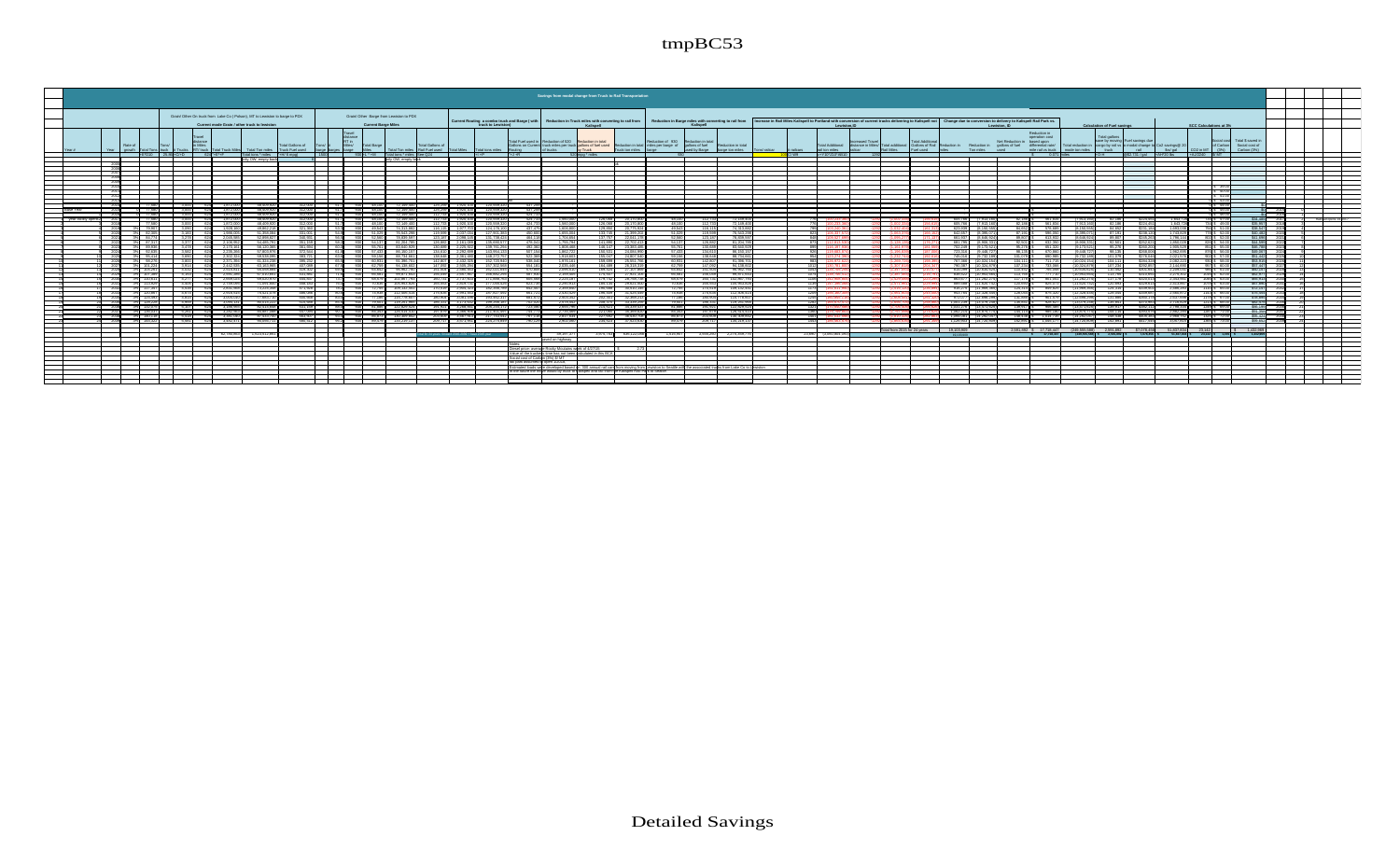|                                                                                                                                                                                                                                                                    | Savings from modal change from Truck to Rail Transportation                                                                                                                                                                                                                                           |                                                                                                                                                                                                                                                                              |                                                                                                                                                                                                                                                            |
|--------------------------------------------------------------------------------------------------------------------------------------------------------------------------------------------------------------------------------------------------------------------|-------------------------------------------------------------------------------------------------------------------------------------------------------------------------------------------------------------------------------------------------------------------------------------------------------|------------------------------------------------------------------------------------------------------------------------------------------------------------------------------------------------------------------------------------------------------------------------------|------------------------------------------------------------------------------------------------------------------------------------------------------------------------------------------------------------------------------------------------------------|
|                                                                                                                                                                                                                                                                    |                                                                                                                                                                                                                                                                                                       |                                                                                                                                                                                                                                                                              |                                                                                                                                                                                                                                                            |
| Grain/ Other On truck from Lake Co ( Polson), MT to Lewiston to barge to PDX<br>Grain/ Other Barge from Lewiston to PDX                                                                                                                                            |                                                                                                                                                                                                                                                                                                       |                                                                                                                                                                                                                                                                              |                                                                                                                                                                                                                                                            |
| Current mode Grain / other truck to lewiston<br><b>Current Barge Miles</b>                                                                                                                                                                                         | Current Routing a combo truck and Barge ( with<br>Reduction in Barge miles with converting to rail from<br>Reduction in Truck miles with converting to rail from<br>truck to Lewiston)<br>Kalisnell<br>Kalisnell                                                                                      | Increase in Rail Miles Kallspell to Portland with conversion of current trucks delivering to Kallspell not Change due to conversion to delivery to Kallspell Rail Park vs.<br>Lowleton II<br>I ewiston ID                                                                    | <b>Calculation of Fuel savings</b><br>SCC Calculations at 3%                                                                                                                                                                                               |
| Travel<br>distance<br>in Miles<br><b>Total Gallons of</b><br>Rate c<br>Miles/<br><b>Total Gallons of</b><br>Tons/ #<br>Total Rarne<br>Total Ton miles Truck Fuel used<br>RT/tnick I<br><b>Total Ton miles</b>                                                      | Total Fuel used in Reduction of 520 Reduction in total<br>Reduction of 930<br>Reduction in tota<br>Sallons on Current truck miles per truck gallons of fuel used<br>gallons of fuel<br>Reduction in total miles per barge of<br>Reduction in total<br>by Truck<br>of trucks.<br>Truck ton miles barge | Reduction in<br>operation cost<br>Net Reduction in based upon<br>distance in Miles/ Total additional Gallons of Rail Reduction in Reduction in gallons of fuel<br>Total Additional<br>differential rate/<br>Ton miles used<br>Rail Mies<br>mile rail vs truck mode ton miles | Total gallons<br>save by moving Fuel savings due<br>Total \$ saved in<br>Social costi<br>of Carbon Social cost of<br>Total reduction in cargo by rail vs to modal change to Co2 savings @ 20<br>Carbon (3%)<br>truck  <br>rall lbs/gal CO2 in MT<br>(20.1) |
| Rail Fuel used<br>E'D10 25.86 +C/+D 624 +E'+F                                                                                                                                                                                                                      | sed by Barge barge ton miles Tons/ railcar #<br>al a P<br>$k = R$<br>520 mpg * miles                                                                                                                                                                                                                  | rail ton miles<br>Fuel used miles<br>100 C/W9 - +Y10"Z10"AB10<br>1000<br>$$$ 0.071 miles                                                                                                                                                                                     | +OH 652.731 (gal +AH*20 hs +A 1/2240 S/MT                                                                                                                                                                                                                  |
|                                                                                                                                                                                                                                                                    |                                                                                                                                                                                                                                                                                                       |                                                                                                                                                                                                                                                                              |                                                                                                                                                                                                                                                            |
| ———                                                                                                                                                                                                                                                                |                                                                                                                                                                                                                                                                                                       |                                                                                                                                                                                                                                                                              |                                                                                                                                                                                                                                                            |
|                                                                                                                                                                                                                                                                    |                                                                                                                                                                                                                                                                                                       |                                                                                                                                                                                                                                                                              |                                                                                                                                                                                                                                                            |
|                                                                                                                                                                                                                                                                    |                                                                                                                                                                                                                                                                                                       |                                                                                                                                                                                                                                                                              |                                                                                                                                                                                                                                                            |
|                                                                                                                                                                                                                                                                    |                                                                                                                                                                                                                                                                                                       |                                                                                                                                                                                                                                                                              | \$ 39.00                                                                                                                                                                                                                                                   |
|                                                                                                                                                                                                                                                                    |                                                                                                                                                                                                                                                                                                       |                                                                                                                                                                                                                                                                              | \$40.00                                                                                                                                                                                                                                                    |
| 2012                                                                                                                                                                                                                                                               |                                                                                                                                                                                                                                                                                                       |                                                                                                                                                                                                                                                                              | S 41.00<br>$5 - 43.00$                                                                                                                                                                                                                                     |
| 48,409.92<br>2014<br>77580 1 3.000<br>1 51.71 930<br>48,100<br>125, 259<br>72.149.4                                                                                                                                                                                |                                                                                                                                                                                                                                                                                                       |                                                                                                                                                                                                                                                                              | $0\,$ \$ 44.00                                                                                                                                                                                                                                             |
| 77580 3000 624 1872<br>48,409.92<br>51.7 930 48.100 72.149.40<br>2015<br>lase Year                                                                                                                                                                                 | 125 259 1920 100 120 559 320<br>437.259                                                                                                                                                                                                                                                               |                                                                                                                                                                                                                                                                              | $0.5 - 45.00$                                                                                                                                                                                                                                              |
| 48,409                                                                                                                                                                                                                                                             |                                                                                                                                                                                                                                                                                                       |                                                                                                                                                                                                                                                                              | \$46.00                                                                                                                                                                                                                                                    |
| year facility opens2<br>48,409.<br>24 1<br>48,100<br>77,580 3,000<br>48,409,9<br>48,100<br>624 1.872<br>1.54<br>72 149 40                                                                                                                                          | 72,149.40<br>126.068<br>112,733 72,149,400<br>112 733 1920 100<br>1.560.00<br>126.068 20.170.800<br>120 559 32<br>48,100                                                                                                                                                                              | (7.913.1)<br>605,766<br>(7,913,164)<br>82.186 \$ 561.834                                                                                                                                                                                                                     | \$ 47.00<br>1.643<br>Rainad opera 1<br>\$49.00<br>(7, 913, 1)<br>\$224,451<br>1.643.72<br>82.186                                                                                                                                                           |
| $3\%$ $79.907$ $3.090$<br>49,862.21<br>116,115<br>624 1.928.1<br>321.360<br>49.543<br>74 313 8                                                                                                                                                                     | 129.850 20.775.924<br>74,313,882<br>1977703<br>1,606,800<br>49.543<br>116,115<br>124 176 100<br>437 475                                                                                                                                                                                               | 578,689<br>623,939<br>84,652 \$<br>(8.150.55                                                                                                                                                                                                                                 | 1,693,038<br>\$231.18<br>55.51,00<br>(8.150.55<br>84,652                                                                                                                                                                                                   |
| 51,358.08<br>3% 82.305 3.183<br>1,986.0<br>331.001<br>76.543<br>119,599<br>  549 G<br>51,029                                                                                                                                                                       | 133,745 21.399.20<br>1,655.00<br>119,599<br>76.543<br>127 901 383                                                                                                                                                                                                                                     | (8,395.0)<br>87.191<br>596.050                                                                                                                                                                                                                                               | (8.395.07<br>\$238.12<br>1,743,829<br>\$ 52.00<br>87.191                                                                                                                                                                                                   |
| 52,898.8<br>3% 84 774<br>3.278 624 2.045                                                                                                                                                                                                                           | 137,757 22.041.1<br>123.187 2.098.145<br>1.704<br>52.560<br>123 187<br>78.839.5<br>131 738 42                                                                                                                                                                                                         | (R. 646)<br>89.807<br>6619<br>613932                                                                                                                                                                                                                                         | \$245.26<br>(R. FAR 9<br>89.807<br>1,796,144<br>12 \$ 52.00                                                                                                                                                                                                |
| 54,485,<br>2.106<br>56,120,36<br><b>ALL RG GRE</b><br>3.478<br>2.170.<br>361,694<br>130,689<br><b>55.761</b>                                                                                                                                                       | 146,147 23,383,48<br>83,640.9<br>1,808.48<br>55.761<br>130,689                                                                                                                                                                                                                                        |                                                                                                                                                                                                                                                                              | \$5, 54.00<br>1,905,529<br>151 \$ 55.00                                                                                                                                                                                                                    |
| 2024 3% 92.635 3.582 624 2.235.26<br>57,803,976<br>372.544<br>61.8 930 57.433 86.150.150                                                                                                                                                                           | 134 610 2292 699<br>143954133<br>186273<br>150 531 24 084 990<br>57433<br>134 610 86 150 15<br>507.154                                                                                                                                                                                                | (9 448.72<br>98.135 \$ 670.860<br>11,196.83<br>722.216                                                                                                                                                                                                                       | (9.448.72<br>98.135<br>\$268,006<br>1.962.695<br>876 \$ 56.00                                                                                                                                                                                              |
| 3% 95.414 3.690 624 2.302.3<br>59,538,09<br>ા હરહી વસ<br>383 721<br>59.156<br>88,734,66                                                                                                                                                                            | 1,918.60<br>155.047 24.807.540<br>59.156<br>138 648<br>88,734,661<br>138 648 2361 480<br>148,272,757                                                                                                                                                                                                  | 101.079 \$ 690.985<br>745.016<br>(9.732.1)                                                                                                                                                                                                                                   | 2,021,576<br>902 \$ 57.00<br>\$276,046<br>(9.7321)<br>101.079                                                                                                                                                                                              |
| 395.23<br>91,396<br>98.276<br>2.371<br>61,324,2<br>60.931<br>142.80                                                                                                                                                                                                | 25.551.7<br>1,976.1<br>91.396.7<br>60.931<br>159,699<br>142,807<br>26,318.7                                                                                                                                                                                                                           | 767.3<br>104,111                                                                                                                                                                                                                                                             | 2.082.223<br>\$284,32<br>0 \$ 58.00<br>2.144.690                                                                                                                                                                                                           |
| 63,163.9<br>4.032<br>65.058.8<br>419.302<br>$-2.515$<br>96,962.7                                                                                                                                                                                                   | 94,138.6<br>2.035<br>164,489<br>69,424 27,107,869<br>2.096<br>96,962.7                                                                                                                                                                                                                                | 790.38<br>110.452                                                                                                                                                                                                                                                            | 67 \$ 60.00<br>186 \$ 61.00                                                                                                                                                                                                                                |
| 431.881<br>4 153<br>107.389<br>2.591<br>67.010.<br><b>GG 581</b><br><b>156 049</b>                                                                                                                                                                                 | 66,581<br>99,871.64<br>174.507 27.921.10<br>2.159.40<br>156,049                                                                                                                                                                                                                                       | 838.53<br>113,765                                                                                                                                                                                                                                                            | 16 \$ 62.00<br>2.275.302                                                                                                                                                                                                                                   |
| 444 837<br>$5 - 2030$<br>3% 110.611 4.277 624 2.669.<br>69.020.97<br>73.7 930 68.579 102.867.79                                                                                                                                                                    | 179.742 28.758.738<br>160 731 27371<br>2 2 2 4 1 8<br>68,579<br>160.731 102.867.79                                                                                                                                                                                                                    | 863677<br>(11.282.27<br>117 178<br>801041                                                                                                                                                                                                                                    | 2.343.561<br>1046 \$ 63.00<br>(11 282)                                                                                                                                                                                                                     |
| 3% 113.929 4.406 624 2.749.0<br>71.091.60<br>458 183<br>760 930 70636 105953.8                                                                                                                                                                                     | 185,134 29,621,500<br>70.636<br>165 553 105 953 826<br>165 553 2819 731<br>177 045 426<br>2.290.91<br>109 132 4                                                                                                                                                                                       | 889,688<br>14.47.40<br>74.4740<br>$120,602$ $5$ $925,072$<br>144,620.7                                                                                                                                                                                                       | 2.413.867<br>1078 \$ 63.00<br>120.692<br>2 486 283                                                                                                                                                                                                         |
| 2.83<br>4.674<br>75,421,0<br>24 2.916<br>486.08<br>175,635                                                                                                                                                                                                         | 196.409 31.425.4<br>175,635 112,406,41<br>2.430                                                                                                                                                                                                                                                       | 11969<br>(12.328.4)<br>128,044<br>(156.1)                                                                                                                                                                                                                                    | 2.560.872<br>1143 \$ 66.00                                                                                                                                                                                                                                 |
| 77,683,7<br>4,814<br>180,904<br>124,493<br>3.004<br>500.668<br>7.186                                                                                                                                                                                               | 180,904 115,778,60<br>202,301 32,368,2<br>3.081.196<br>2,503.3<br>193,462.31                                                                                                                                                                                                                          | (12.698.2)<br>131,885                                                                                                                                                                                                                                                        | 78 \$ 67.00<br>\$360,1<br>2,637,698<br>12,698.2                                                                                                                                                                                                            |
| 4.959<br>186,331<br>3.094<br>80.014.2<br>119, 251, 9<br>120.220<br>515.68<br>$-95$<br>79.501                                                                                                                                                                       | 208,370 33,339,25<br>119,251,96<br>186,331<br>2.578.44<br>79.501<br>199 266 18                                                                                                                                                                                                                        | 1.001.239<br>135,841<br>(13.079.2)<br>928,627                                                                                                                                                                                                                                | 2.716.829<br>213 \$ 68.00<br>13.079<br>135 841                                                                                                                                                                                                             |
| 5.107<br>624 3.186.95<br>82.414.64<br>531.159<br>191,921<br>1 2036<br>3% 132.075<br>88.0 930 81.886 122.829.<br>3% 136.037 5261<br>472821<br><b>R4 887</b><br>E47 DOA<br>$\overline{1}$ and $\overline{2}$ and $\overline{3}$<br>197,679 3.3661<br>84.343 126.5144 | 214.621 34.339.43<br>191.921 122.829.52<br>81,886<br>3.268.841 205.244.17<br>2.655.79<br>84343<br>2.735.4<br>221 060 35369 6<br>197 679 126 514 41                                                                                                                                                    | 139,917<br>11,706.4<br>1.031.276<br>(13.471.62)<br>956, 485<br>(13.875.7)<br>1.062.214<br>144 114 1<br>005,400                                                                                                                                                               | 2.798.334<br>(13.471)<br>139 917<br>\$382.11<br>1249 \$ 69.00<br>144 114<br>2882284<br>87 S 71 OO                                                                                                                                                          |
| 87.433<br>3.381                                                                                                                                                                                                                                                    | 227,692 36,430<br>130,309                                                                                                                                                                                                                                                                             |                                                                                                                                                                                                                                                                              |                                                                                                                                                                                                                                                            |
| 3% 144.322<br>5.581 624 3.482.471<br>90.056.711<br>580.412<br>96.2 930 89.479 134.219.137                                                                                                                                                                          | 2.902.06<br>234.523 37.523.63<br>89,479<br>209.717 134.219.13<br>209 717 3571 951 224 275 849                                                                                                                                                                                                         | 1.126,903<br>152.891 \$ 1.045.177                                                                                                                                                                                                                                            | 3.057.815                                                                                                                                                                                                                                                  |
| $\sim$<br>— 1 — 1 —                                                                                                                                                                                                                                                |                                                                                                                                                                                                                                                                                                       |                                                                                                                                                                                                                                                                              |                                                                                                                                                                                                                                                            |
| 1 623 512 85<br>62,780,853                                                                                                                                                                                                                                         | 49.197.377<br>3.555.250 2.275.359.77<br>3.975.763 636.122.088<br>1.516.907<br>al for 24 years forward 2015-2039 + base 2015 year                                                                                                                                                                      | Total from 2015 for 24 years 19,103,909<br>23,690 (3,060,804.093<br>19.103.909                                                                                                                                                                                               | 2.591.892 \$ 17.718.447 (249.555.588) 2.591.892 \$7.078.456<br>51,837,834<br>17.718.447 (249.555.588) \$ 2.591.892 \$ 7.878.456 \$ 51.837.834 \$ 23.142 \$ 1.391 \$<br>$-1.033A$                                                                           |
|                                                                                                                                                                                                                                                                    | aved on highway                                                                                                                                                                                                                                                                                       |                                                                                                                                                                                                                                                                              |                                                                                                                                                                                                                                                            |
|                                                                                                                                                                                                                                                                    |                                                                                                                                                                                                                                                                                                       |                                                                                                                                                                                                                                                                              |                                                                                                                                                                                                                                                            |
|                                                                                                                                                                                                                                                                    | lesel price: average Rocky Moutains week of 4/27/15<br>alue of the trucker's time has not been calculated in this BCA                                                                                                                                                                                 |                                                                                                                                                                                                                                                                              |                                                                                                                                                                                                                                                            |
|                                                                                                                                                                                                                                                                    |                                                                                                                                                                                                                                                                                                       |                                                                                                                                                                                                                                                                              |                                                                                                                                                                                                                                                            |
|                                                                                                                                                                                                                                                                    | Social cost of Carbon (3%) \$/ MT<br>all park assumed to open 1/2018.                                                                                                                                                                                                                                 |                                                                                                                                                                                                                                                                              |                                                                                                                                                                                                                                                            |
| ___                                                                                                                                                                                                                                                                | Estimated loads were developed based on 300 annual rail cars from moving from Lewiston to Seattle with the associated trusks from Lake Co to Lewiston                                                                                                                                                 |                                                                                                                                                                                                                                                                              |                                                                                                                                                                                                                                                            |
|                                                                                                                                                                                                                                                                    | n the future the move would by truck to Kalispell and rail from the Kalispell Rail Park to Seattle.                                                                                                                                                                                                   |                                                                                                                                                                                                                                                                              |                                                                                                                                                                                                                                                            |
|                                                                                                                                                                                                                                                                    |                                                                                                                                                                                                                                                                                                       |                                                                                                                                                                                                                                                                              |                                                                                                                                                                                                                                                            |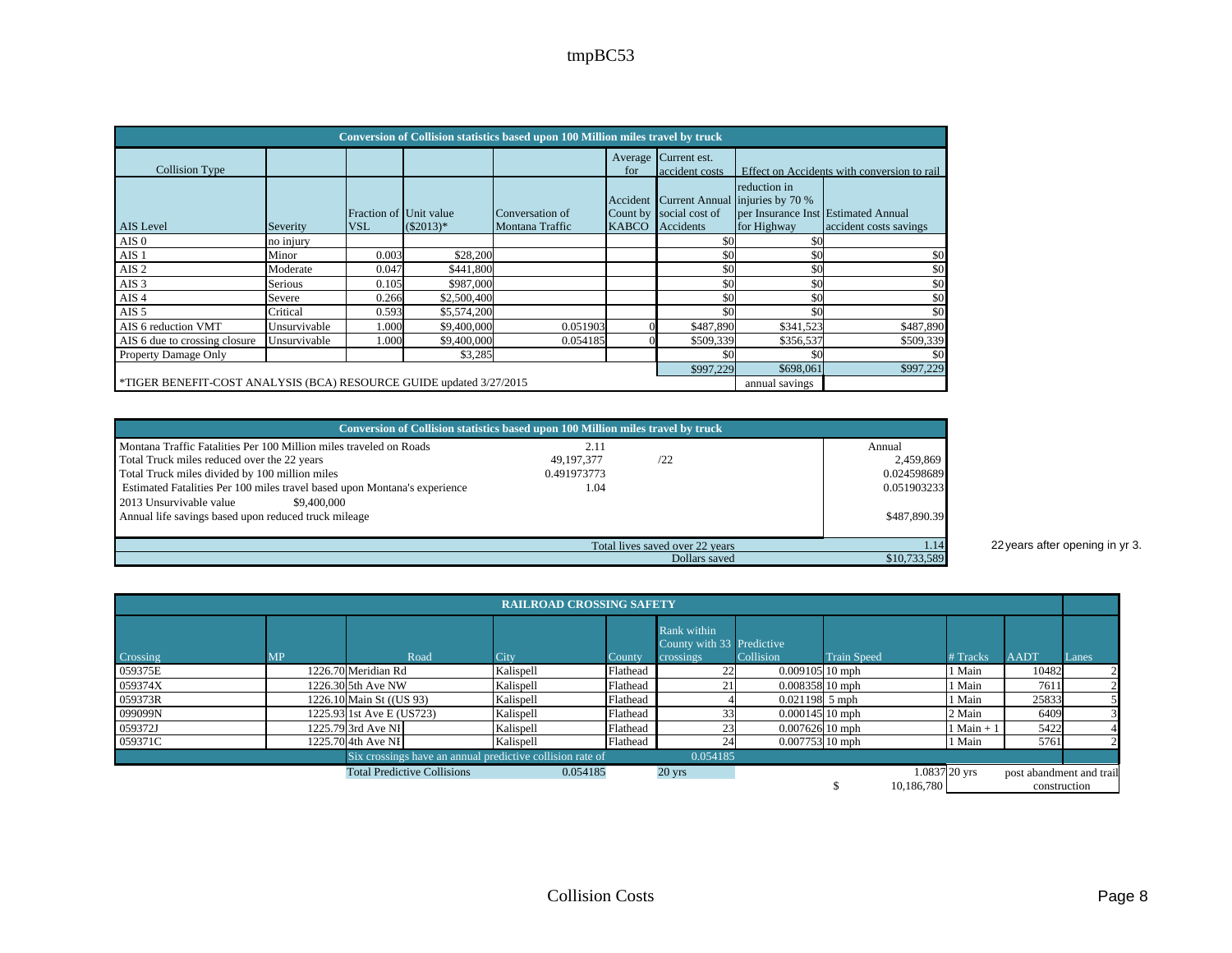| Conversion of Collision statistics based upon 100 Million miles travel by truck |                                     |                                      |             |                                    |                          |                                      |                                                                                                       |                                             |  |  |  |  |  |
|---------------------------------------------------------------------------------|-------------------------------------|--------------------------------------|-------------|------------------------------------|--------------------------|--------------------------------------|-------------------------------------------------------------------------------------------------------|---------------------------------------------|--|--|--|--|--|
| Collision Type                                                                  |                                     |                                      |             |                                    | Average<br>for           | Current est.<br>accident costs       |                                                                                                       | Effect on Accidents with conversion to rail |  |  |  |  |  |
| AIS Level                                                                       | Severity                            | Fraction of Unit value<br><b>VSL</b> | $(S2013)^*$ | Conversation of<br>Montana Traffic | Accident<br><b>KABCO</b> | Count by social cost of<br>Accidents | reduction in<br>Current Annual injuries by 70 %<br>per Insurance Inst Estimated Annual<br>for Highway | accident costs savings                      |  |  |  |  |  |
| AIS <sub>0</sub>                                                                | no injury                           |                                      |             |                                    |                          | \$0                                  | \$0                                                                                                   |                                             |  |  |  |  |  |
| AIS <sub>1</sub>                                                                | Minor                               | 0.003                                | \$28,200    |                                    |                          | \$0                                  | \$0                                                                                                   | \$0                                         |  |  |  |  |  |
| AIS <sub>2</sub>                                                                | Moderate                            | 0.047                                | \$441,800   |                                    |                          | \$0                                  | \$0                                                                                                   | \$0                                         |  |  |  |  |  |
| AIS <sub>3</sub>                                                                | Serious                             | 0.105                                | \$987,000   |                                    |                          | \$0                                  | \$0                                                                                                   | \$0                                         |  |  |  |  |  |
| AIS <sub>4</sub>                                                                | Severe                              | 0.266                                | \$2,500,400 |                                    |                          | \$0                                  | \$0                                                                                                   | \$0                                         |  |  |  |  |  |
| AIS <sub>5</sub>                                                                | Critical                            | 0.593                                | \$5,574,200 |                                    |                          | \$0                                  | \$0                                                                                                   | \$0                                         |  |  |  |  |  |
| AIS 6 reduction VMT                                                             | Unsurvivable                        | 1.000                                | \$9,400,000 | 0.051903                           |                          | \$487,890                            | \$341,523                                                                                             | \$487,890                                   |  |  |  |  |  |
| AIS 6 due to crossing closure                                                   | Unsurvivable                        | 1.000                                | \$9,400,000 | 0.054185                           |                          | \$509,339                            | \$356,537                                                                                             | \$509,339                                   |  |  |  |  |  |
| Property Damage Only                                                            |                                     |                                      | \$3,285     |                                    |                          | \$0                                  | \$0                                                                                                   | \$0                                         |  |  |  |  |  |
|                                                                                 | \$698,061<br>\$997,229<br>\$997,229 |                                      |             |                                    |                          |                                      |                                                                                                       |                                             |  |  |  |  |  |
| *TIGER BENEFIT-COST ANALYSIS (BCA) RESOURCE GUIDE updated 3/27/2015             |                                     |                                      |             |                                    |                          |                                      | annual savings                                                                                        |                                             |  |  |  |  |  |

| Conversion of Collision statistics based upon 100 Million miles travel by truck                                   |                    |                                 |                     |
|-------------------------------------------------------------------------------------------------------------------|--------------------|---------------------------------|---------------------|
| Montana Traffic Fatalities Per 100 Million miles traveled on Roads<br>Total Truck miles reduced over the 22 years | 2.11<br>49.197.377 | 122                             | Annual<br>2,459,869 |
| Total Truck miles divided by 100 million miles                                                                    | 0.491973773        |                                 | 0.024598689         |
| Estimated Fatalities Per 100 miles travel based upon Montana's experience                                         | 1.04               |                                 | 0.051903233         |
| 2013 Unsurvivable value<br>\$9,400,000<br>Annual life savings based upon reduced truck mileage                    |                    |                                 | \$487,890.39        |
|                                                                                                                   |                    | Total lives saved over 22 years |                     |
|                                                                                                                   |                    | Dollars saved                   | \$10,733,589        |

1.14 22 years after opening in yr 3.

| <b>RAILROAD CROSSING SAFETY</b> |           |                                                           |           |          |                                                       |                   |                    |                 |                          |       |
|---------------------------------|-----------|-----------------------------------------------------------|-----------|----------|-------------------------------------------------------|-------------------|--------------------|-----------------|--------------------------|-------|
| Crossing                        | <b>MP</b> | Road                                                      | City      | County   | Rank within<br>County with 33 Predictive<br>crossings | Collision         | <b>Train Speed</b> | <b>Tracks</b>   | <b>AADT</b>              | Lanes |
| 059375E                         |           | 1226.70 Meridian Rd                                       | Kalispell | Flathead |                                                       | $0.00910510$ mph  |                    | Main            | 10482                    |       |
| 059374X                         |           | 1226.30 5th Ave NW                                        | Kalispell | Flathead |                                                       | $0.008358110$ mph |                    | Main            | 7611                     |       |
| 059373R                         |           | 1226.10 Main St ((US 93)                                  | Kalispell | Flathead |                                                       | $0.021198$ 5 mph  |                    | Main            | 25833                    |       |
| 099099N                         |           | 1225.93 1st Ave E (US723)                                 | Kalispell | Flathead |                                                       | $0.000145$ 10 mph |                    | 2 Main          | 6409                     |       |
| 059372J                         |           | 1225.79 3rd Ave NI                                        | Kalispell | Flathead |                                                       | $0.007626$ 10 mph |                    | $1$ Main $+$    | 5422                     |       |
| 059371C                         |           | 1225.70 4th Ave NI                                        | Kalispell | Flathead | 24                                                    | $0.007753$ 10 mph |                    | Main            | 5761                     |       |
|                                 |           | Six crossings have an annual predictive collision rate of |           |          | 0.054185                                              |                   |                    |                 |                          |       |
|                                 |           | <b>Total Predictive Collisions</b>                        | 0.054185  |          | $20$ yrs                                              |                   |                    | $1.0837$ 20 yrs | post abandment and trail |       |
|                                 |           |                                                           |           |          |                                                       |                   | 10.186.780         |                 | construction             |       |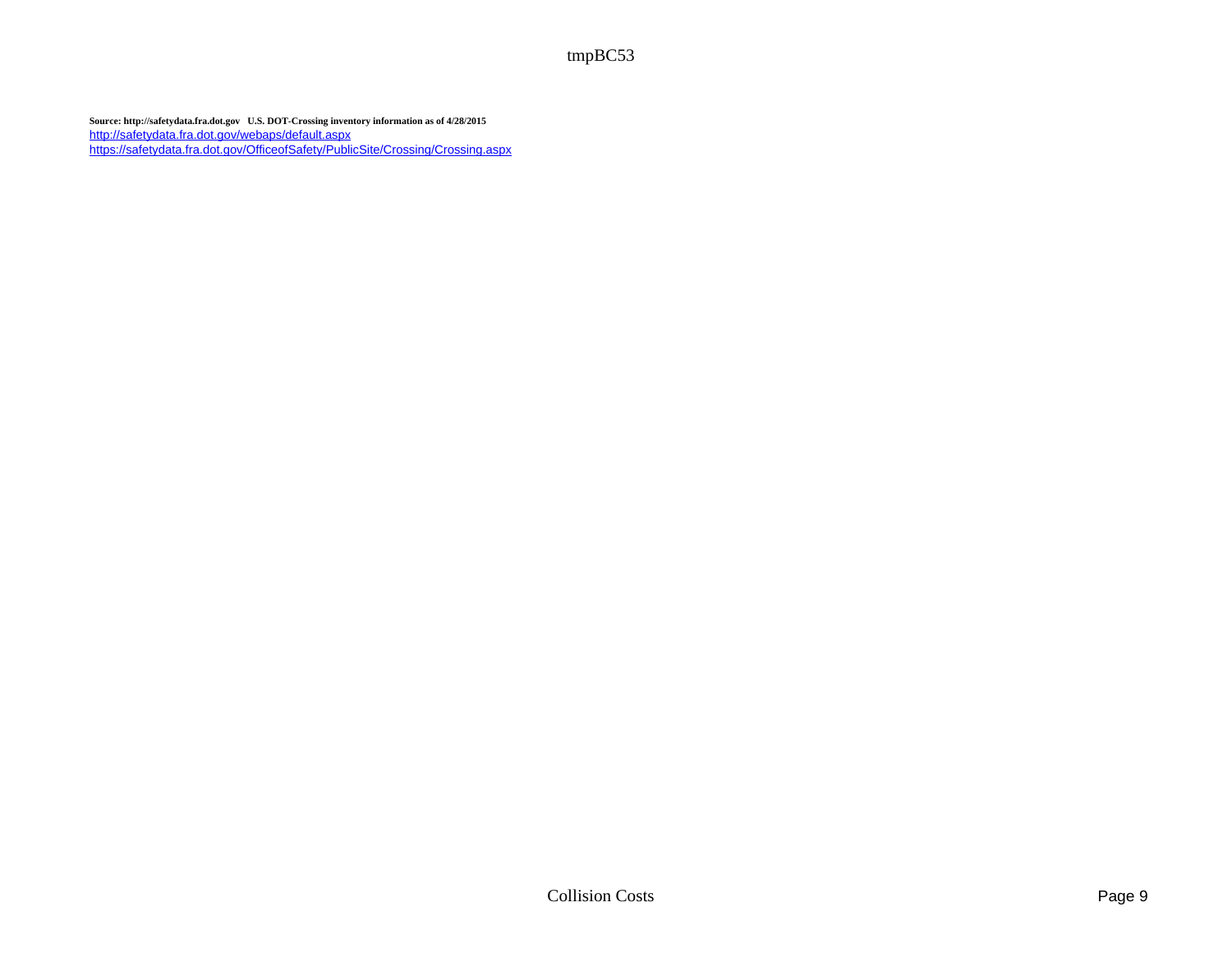**Source: http://safetydata.fra.dot.gov U.S. DOT-Crossing inventory information as of 4/28/2015** http://safetydata.fra.dot.gov/webaps/default.aspx https://safetydata.fra.dot.gov/OfficeofSafety/PublicSite/Crossing/Crossing.aspx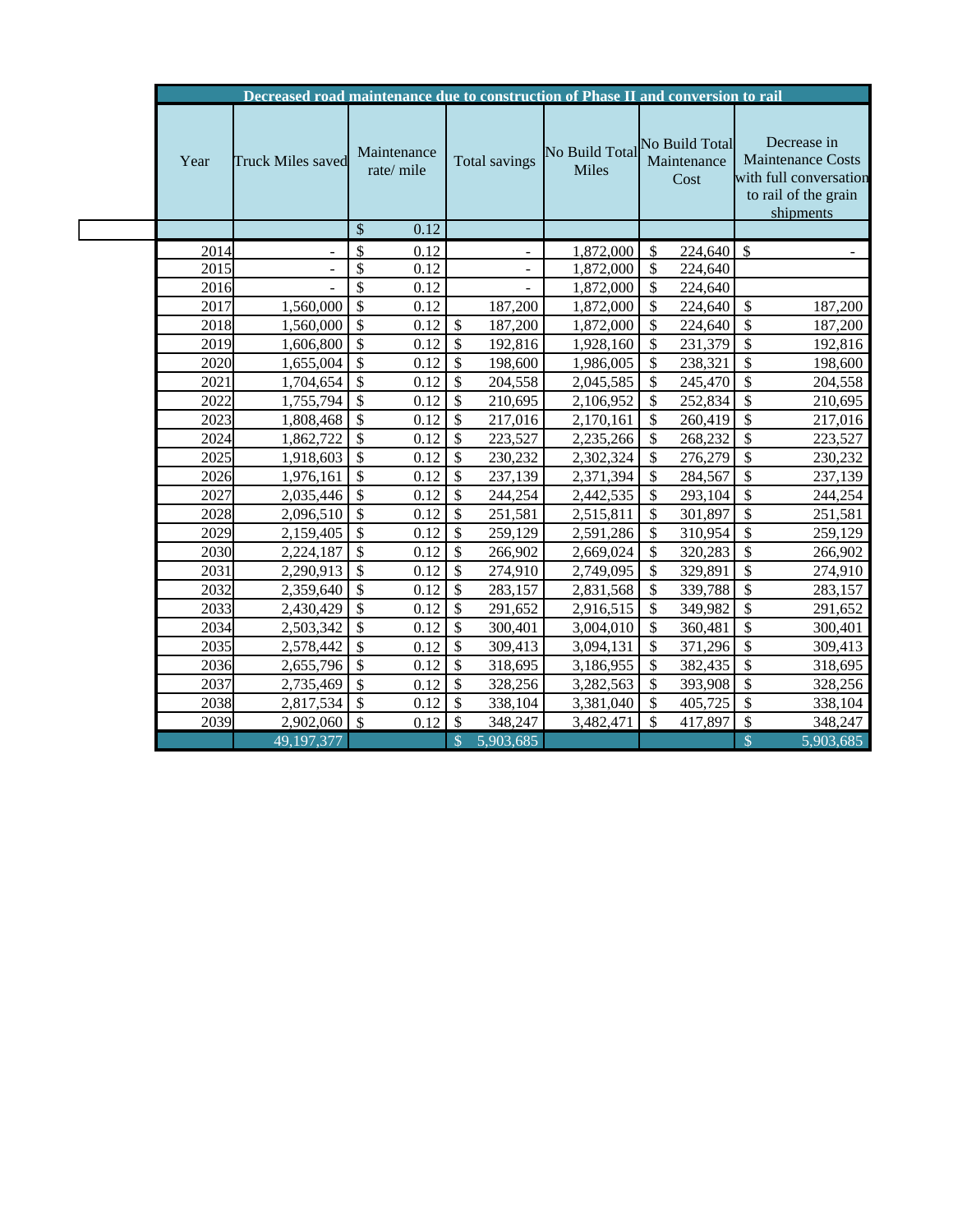|      | Decreased road maintenance due to construction of Phase II and conversion to rail |                          |                            |                                               |                     |                                                                                                        |
|------|-----------------------------------------------------------------------------------|--------------------------|----------------------------|-----------------------------------------------|---------------------|--------------------------------------------------------------------------------------------------------|
| Year | Truck Miles saved                                                                 | Maintenance<br>rate/mile | Total savings              | No Build Total No Build Total<br><b>Miles</b> | Maintenance<br>Cost | Decrease in<br><b>Maintenance Costs</b><br>with full conversation<br>to rail of the grain<br>shipments |
|      |                                                                                   | \$<br>0.12               |                            |                                               |                     |                                                                                                        |
| 2014 |                                                                                   | \$<br>0.12               |                            | 1,872,000                                     | \$<br>224,640       | $\mathcal{S}$                                                                                          |
| 2015 |                                                                                   | \$<br>0.12               |                            | 1,872,000                                     | \$<br>224,640       |                                                                                                        |
| 2016 |                                                                                   | \$<br>0.12               |                            | 1,872,000                                     | \$<br>224,640       |                                                                                                        |
| 2017 | 1,560,000                                                                         | \$<br>0.12               | 187,200                    | 1,872,000                                     | \$<br>224,640       | $\mathbb{S}$<br>187,200                                                                                |
| 2018 | 1,560,000                                                                         | \$<br>0.12               | \$<br>187,200              | 1,872,000                                     | \$<br>224,640       | $\frac{1}{2}$<br>187,200                                                                               |
| 2019 | 1,606,800                                                                         | \$<br>0.12               | \$<br>192,816              | 1,928,160                                     | \$<br>231,379       | $\boldsymbol{\mathsf{S}}$<br>192,816                                                                   |
| 2020 | 1,655,004                                                                         | \$<br>0.12               | \$<br>198,600              | 1,986,005                                     | \$<br>238,321       | \$<br>198,600                                                                                          |
| 2021 | 1,704,654                                                                         | $\mathcal{S}$<br>0.12    | \$<br>204,558              | 2,045,585                                     | \$<br>245,470       | \$<br>204,558                                                                                          |
| 2022 | 1,755,794                                                                         | \$<br>0.12               | \$<br>210,695              | 2,106,952                                     | \$<br>252,834       | \$<br>210,695                                                                                          |
| 2023 | 1,808,468                                                                         | $\mathcal{S}$<br>0.12    | \$<br>217,016              | 2,170,161                                     | \$<br>260,419       | $\mathcal{S}$<br>217,016                                                                               |
| 2024 | 1,862,722                                                                         | \$<br>0.12               | \$<br>223,527              | 2,235,266                                     | \$<br>268,232       | \$<br>223,527                                                                                          |
| 2025 | 1,918,603                                                                         | \$<br>0.12               | \$<br>230,232              | 2,302,324                                     | \$<br>276,279       | \$<br>230,232                                                                                          |
| 2026 | 1,976,161                                                                         | \$<br>0.12               | \$<br>237,139              | 2,371,394                                     | \$<br>284,567       | \$<br>237,139                                                                                          |
| 2027 | 2,035,446                                                                         | \$<br>0.12               | \$<br>244,254              | 2,442,535                                     | \$<br>293,104       | \$<br>244,254                                                                                          |
| 2028 | 2,096,510                                                                         | $\mathcal{S}$<br>0.12    | \$<br>251,581              | 2,515,811                                     | \$<br>301,897       | $\overline{\$}$<br>251,581                                                                             |
| 2029 | 2,159,405                                                                         | 0.12<br>\$               | \$<br>259,129              | 2,591,286                                     | \$<br>310,954       | \$<br>259,129                                                                                          |
| 2030 | 2,224,187                                                                         | \$<br>0.12               | \$<br>266,902              | 2,669,024                                     | \$<br>320,283       | \$<br>266,902                                                                                          |
| 2031 | 2,290,913                                                                         | \$<br>0.12               | \$<br>274,910              | 2,749,095                                     | \$<br>329,891       | \$<br>274,910                                                                                          |
| 2032 | 2,359,640                                                                         | \$<br>0.12               | \$<br>283,157              | 2,831,568                                     | \$<br>339,788       | \$<br>283,157                                                                                          |
| 2033 | 2,430,429                                                                         | $\mathcal{S}$<br>0.12    | \$<br>291,652              | 2,916,515                                     | \$<br>349,982       | \$<br>291,652                                                                                          |
| 2034 | 2,503,342                                                                         | $\mathcal{S}$<br>0.12    | \$<br>300,401              | 3,004,010                                     | \$<br>360,481       | \$<br>300,401                                                                                          |
| 2035 | 2,578,442                                                                         | $\mathcal{S}$<br>0.12    | \$<br>309,413              | 3,094,131                                     | \$<br>371,296       | \$<br>309,413                                                                                          |
| 2036 | 2,655,796                                                                         | \$<br>0.12               | \$<br>318,695              | 3,186,955                                     | \$<br>382,435       | $\mathsf{\$}$<br>318,695                                                                               |
| 2037 | 2,735,469                                                                         | $\mathcal{S}$<br>0.12    | \$<br>328,256              | 3,282,563                                     | \$<br>393,908       | $\frac{1}{2}$<br>328,256                                                                               |
| 2038 | 2,817,534                                                                         | $\mathcal{S}$<br>0.12    | \$<br>338,104              | 3,381,040                                     | \$<br>405,725       | \$<br>338,104                                                                                          |
| 2039 | 2,902,060                                                                         | 0.12<br>-\$              | \$<br>348,247              | 3,482,471                                     | \$<br>417,897       | \$<br>348,247                                                                                          |
|      | 49,197,377                                                                        |                          | $\mathcal{S}$<br>5,903,685 |                                               |                     | $\mathbb{S}$<br>5,903,685                                                                              |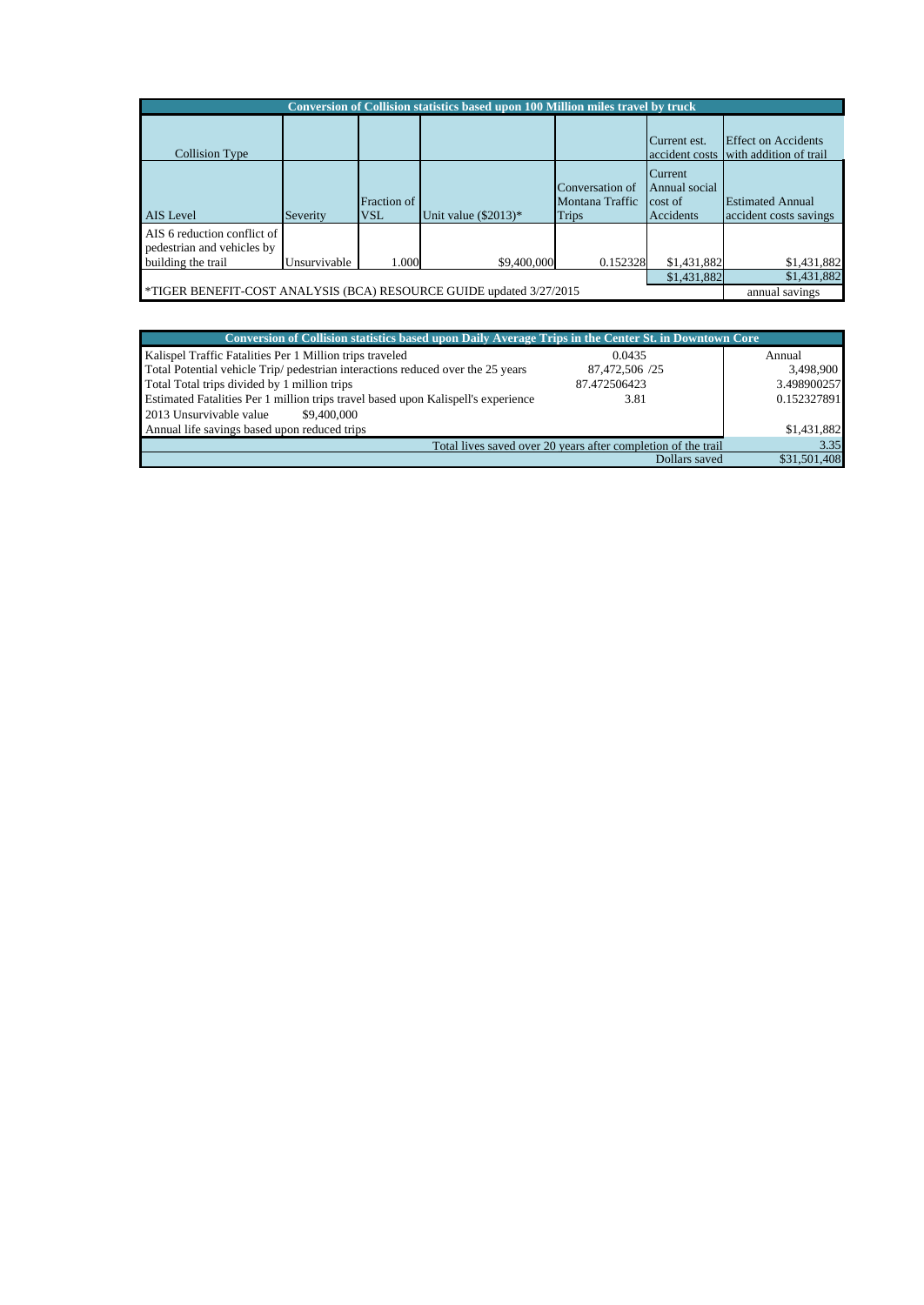| Conversion of Collision statistics based upon 100 Million miles travel by truck |              |                           |                        |                                                    |                                                  |                                                                     |  |  |
|---------------------------------------------------------------------------------|--------------|---------------------------|------------------------|----------------------------------------------------|--------------------------------------------------|---------------------------------------------------------------------|--|--|
| Collision Type                                                                  |              |                           |                        |                                                    | Current est.                                     | <b>Effect on Accidents</b><br>accident costs with addition of trail |  |  |
| <b>AIS</b> Level                                                                | Severity     | Fraction of<br><b>VSL</b> | Unit value $(\$2013)*$ | Conversation of<br>Montana Traffic<br><b>Trips</b> | Current<br>Annual social<br>cost of<br>Accidents | <b>Estimated Annual</b><br>accident costs savings                   |  |  |
| AIS 6 reduction conflict of<br>pedestrian and vehicles by<br>building the trail | Unsurvivable | 1.000                     | \$9,400,000            | 0.152328                                           | \$1,431,882                                      | \$1,431,882                                                         |  |  |
| \$1,431,882<br>\$1,431,882                                                      |              |                           |                        |                                                    |                                                  |                                                                     |  |  |
| *TIGER BENEFIT-COST ANALYSIS (BCA) RESOURCE GUIDE updated 3/27/2015             |              |                           |                        |                                                    |                                                  | annual savings                                                      |  |  |

| Conversion of Collision statistics based upon Daily Average Trips in the Center St. in Downtown Core |                                                               |              |
|------------------------------------------------------------------------------------------------------|---------------------------------------------------------------|--------------|
| Kalispel Traffic Fatalities Per 1 Million trips traveled                                             | 0.0435                                                        | Annual       |
| Total Potential vehicle Trip/ pedestrian interactions reduced over the 25 years                      | 87,472,506 /25                                                | 3,498,900    |
| Total Total trips divided by 1 million trips                                                         | 87.472506423                                                  | 3.498900257  |
| Estimated Fatalities Per 1 million trips travel based upon Kalispell's experience                    | 3.81                                                          | 0.152327891  |
| 2013 Unsurvivable value<br>\$9,400,000                                                               |                                                               |              |
| Annual life savings based upon reduced trips                                                         |                                                               | \$1,431,882  |
|                                                                                                      | Total lives saved over 20 years after completion of the trail | 3.35         |
|                                                                                                      | Dollars saved                                                 | \$31,501,408 |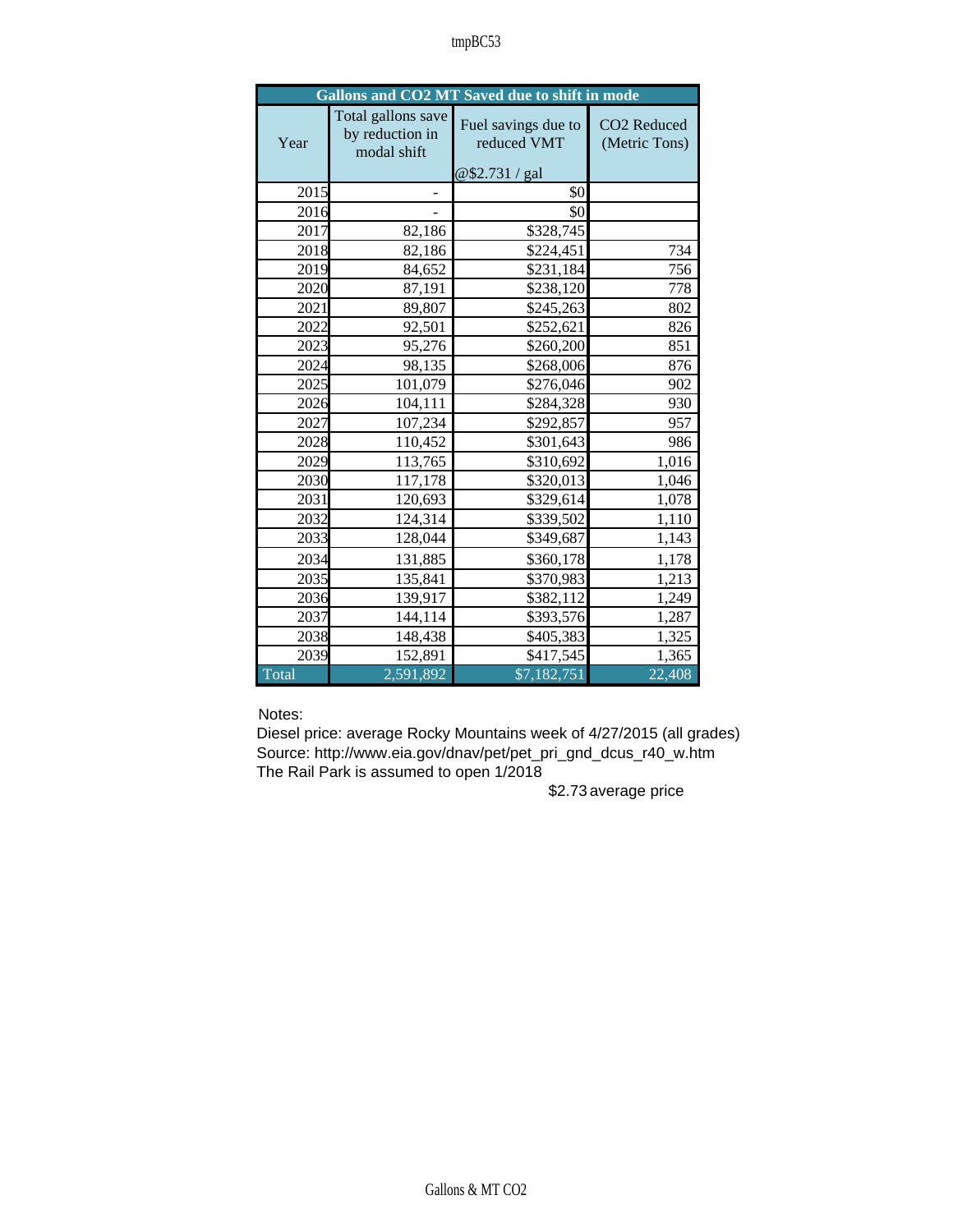|       |                                                      | Gallons and CO2 MT Saved due to shift in mode        |                              |
|-------|------------------------------------------------------|------------------------------------------------------|------------------------------|
| Year  | Total gallons save<br>by reduction in<br>modal shift | Fuel savings due to<br>reduced VMT<br>@\$2.731 / gal | CO2 Reduced<br>(Metric Tons) |
| 2015  |                                                      | \$0                                                  |                              |
| 2016  |                                                      | \$0                                                  |                              |
| 2017  | 82,186                                               | \$328,745                                            |                              |
| 2018  | 82,186                                               | \$224,451                                            | 734                          |
| 2019  | 84,652                                               | \$231,184                                            | 756                          |
| 2020  | 87,191                                               | \$238,120                                            | 778                          |
| 2021  | 89,807                                               | \$245,263                                            | 802                          |
| 2022  | 92,501                                               | \$252,621                                            | 826                          |
| 2023  | 95,276                                               | \$260,200                                            | 851                          |
| 2024  | 98,135                                               | \$268,006                                            | 876                          |
| 2025  | 101,079                                              | \$276,046                                            | 902                          |
| 2026  | 104,111                                              | \$284,328                                            | 930                          |
| 2027  | 107,234                                              | \$292,857                                            | 957                          |
| 2028  | 110,452                                              | \$301,643                                            | 986                          |
| 2029  | 113,765                                              | \$310,692                                            | 1,016                        |
| 2030  | 117,178                                              | \$320,013                                            | 1,046                        |
| 2031  | 120,693                                              | \$329,614                                            | 1,078                        |
| 2032  | 124,314                                              | \$339,502                                            | 1,110                        |
| 2033  | 128,044                                              | \$349,687                                            | 1,143                        |
| 2034  | 131,885                                              | \$360,178                                            | 1,178                        |
| 2035  | 135,841                                              | \$370,983                                            | 1,213                        |
| 2036  | 139,917                                              | \$382,112                                            | 1,249                        |
| 2037  | 144,114                                              | \$393,576                                            | 1,287                        |
| 2038  | 148,438                                              | \$405,383                                            | 1,325                        |
| 2039  | 152,891                                              | \$417,545                                            | 1,365                        |
| Total | 2,591,892                                            | \$7,182,751                                          | 22,408                       |

Notes:

Diesel price: average Rocky Mountains week of 4/27/2015 (all grades) Source: http://www.eia.gov/dnav/pet/pet\_pri\_gnd\_dcus\_r40\_w.htm The Rail Park is assumed to open 1/2018

\$2.73average price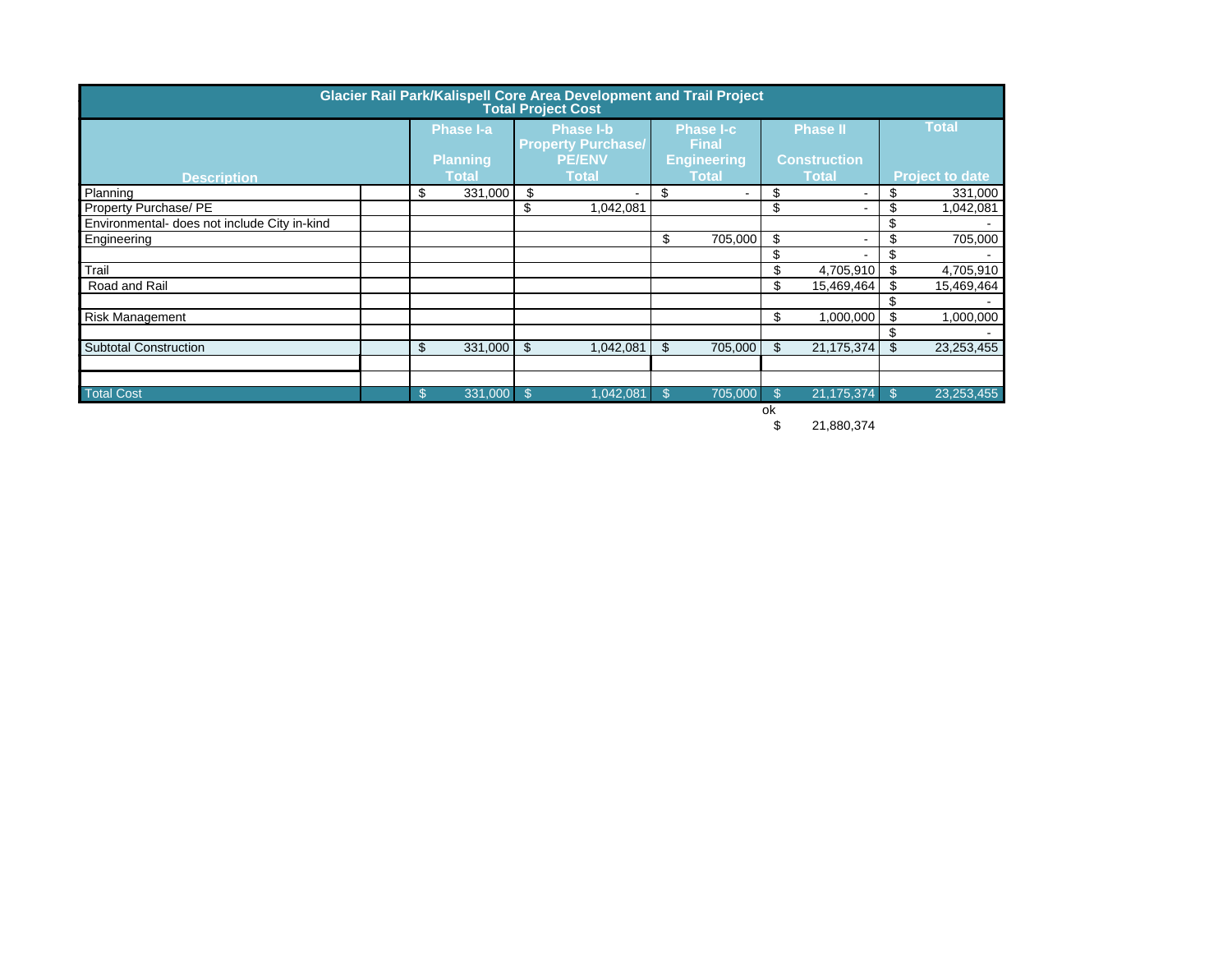| Glacier Rail Park/Kalispell Core Area Development and Trail Project<br><b>Total Project Cost</b> |  |    |                 |     |                                               |    |                           |     |                                     |     |                        |
|--------------------------------------------------------------------------------------------------|--|----|-----------------|-----|-----------------------------------------------|----|---------------------------|-----|-------------------------------------|-----|------------------------|
|                                                                                                  |  |    | Phase I-a       |     | <b>Phase I-b</b><br><b>Property Purchase/</b> |    | <b>Phase I-c</b><br>Final |     | <b>Phase II</b>                     |     | <b>Total</b>           |
|                                                                                                  |  |    | <b>Planning</b> |     | <b>PE/ENV</b><br><b>Total</b>                 |    | <b>Engineering</b>        |     | <b>Construction</b><br><b>Total</b> |     |                        |
| <b>Description</b><br>Planning                                                                   |  | \$ | <b>Total</b>    | \$  |                                               | \$ | <b>Total</b>              | \$  |                                     | \$  | <b>Project to date</b> |
| Property Purchase/ PE                                                                            |  |    | 331,000         | \$  | $\blacksquare$<br>1,042,081                   |    | $\sim$                    | \$  |                                     | \$  | 331,000<br>1,042,081   |
| Environmental- does not include City in-kind                                                     |  |    |                 |     |                                               |    |                           |     |                                     | \$  |                        |
| Engineering                                                                                      |  |    |                 |     |                                               | \$ | 705,000                   | -\$ |                                     | \$  | 705,000                |
|                                                                                                  |  |    |                 |     |                                               |    |                           | \$  |                                     | \$  |                        |
| Trail                                                                                            |  |    |                 |     |                                               |    |                           | \$  | 4,705,910                           | \$  | 4,705,910              |
| Road and Rail                                                                                    |  |    |                 |     |                                               |    |                           | \$  | 15,469,464                          | \$  | 15,469,464             |
|                                                                                                  |  |    |                 |     |                                               |    |                           |     |                                     | \$  |                        |
| Risk Management                                                                                  |  |    |                 |     |                                               |    |                           | \$  | 1,000,000                           | \$  | 1,000,000              |
|                                                                                                  |  |    |                 |     |                                               |    |                           |     |                                     | \$  |                        |
| Subtotal Construction                                                                            |  | \$ | 331,000         | -\$ | 1,042,081                                     | \$ | 705,000                   | \$  | 21,175,374                          | \$  | 23,253,455             |
|                                                                                                  |  |    |                 |     |                                               |    |                           |     |                                     |     |                        |
| <b>Total Cost</b>                                                                                |  | S. | 331,000 \$      |     | 1,042,081                                     | \$ | 705,000                   |     | 21,175,374                          | -\$ | 23, 253, 455           |
|                                                                                                  |  |    |                 |     |                                               |    |                           | ok  |                                     |     |                        |

\$ 21,880,374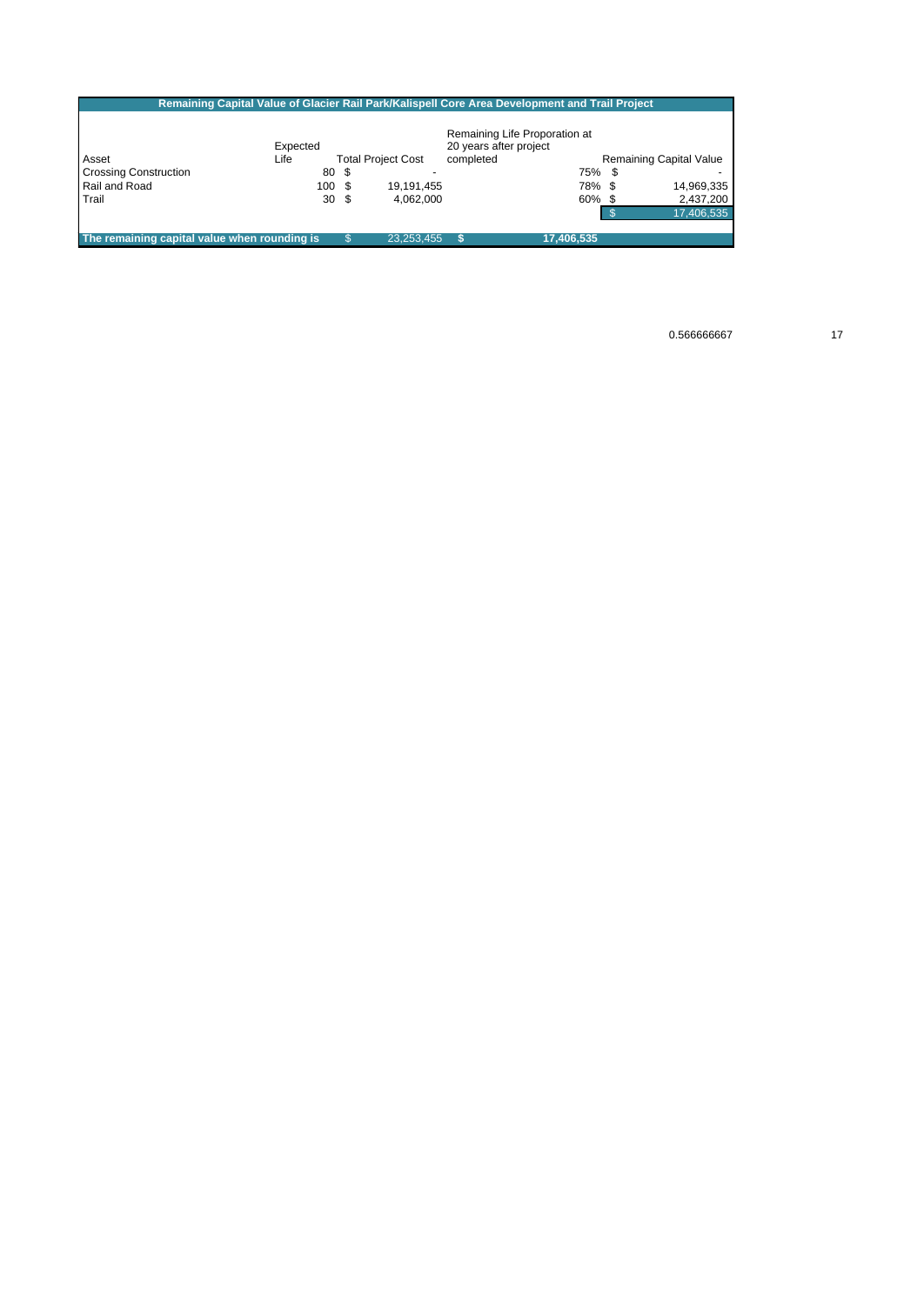|                                              | Remaining Capital Value of Glacier Rail Park/Kalispell Core Area Development and Trail Project |                           |                        |                               |    |                                |
|----------------------------------------------|------------------------------------------------------------------------------------------------|---------------------------|------------------------|-------------------------------|----|--------------------------------|
|                                              |                                                                                                |                           |                        |                               |    |                                |
|                                              |                                                                                                |                           |                        | Remaining Life Proporation at |    |                                |
|                                              | Expected                                                                                       |                           | 20 years after project |                               |    |                                |
| Asset                                        | Life                                                                                           | <b>Total Project Cost</b> | completed              |                               |    | <b>Remaining Capital Value</b> |
| <b>Crossing Construction</b>                 | 80 \$                                                                                          |                           |                        | 75%                           | -S |                                |
| Rail and Road                                | 100S                                                                                           | 19,191,455                |                        | 78% \$                        |    | 14,969,335                     |
| Trail                                        | 30 <sup>5</sup>                                                                                | 4.062.000                 |                        | $60\%$ \$                     |    | 2,437,200                      |
|                                              |                                                                                                |                           |                        |                               |    | 17,406,535                     |
|                                              |                                                                                                |                           |                        |                               |    |                                |
| The remaining capital value when rounding is |                                                                                                | 23.253.455                |                        | 17.406.535                    |    |                                |

0.566666667 17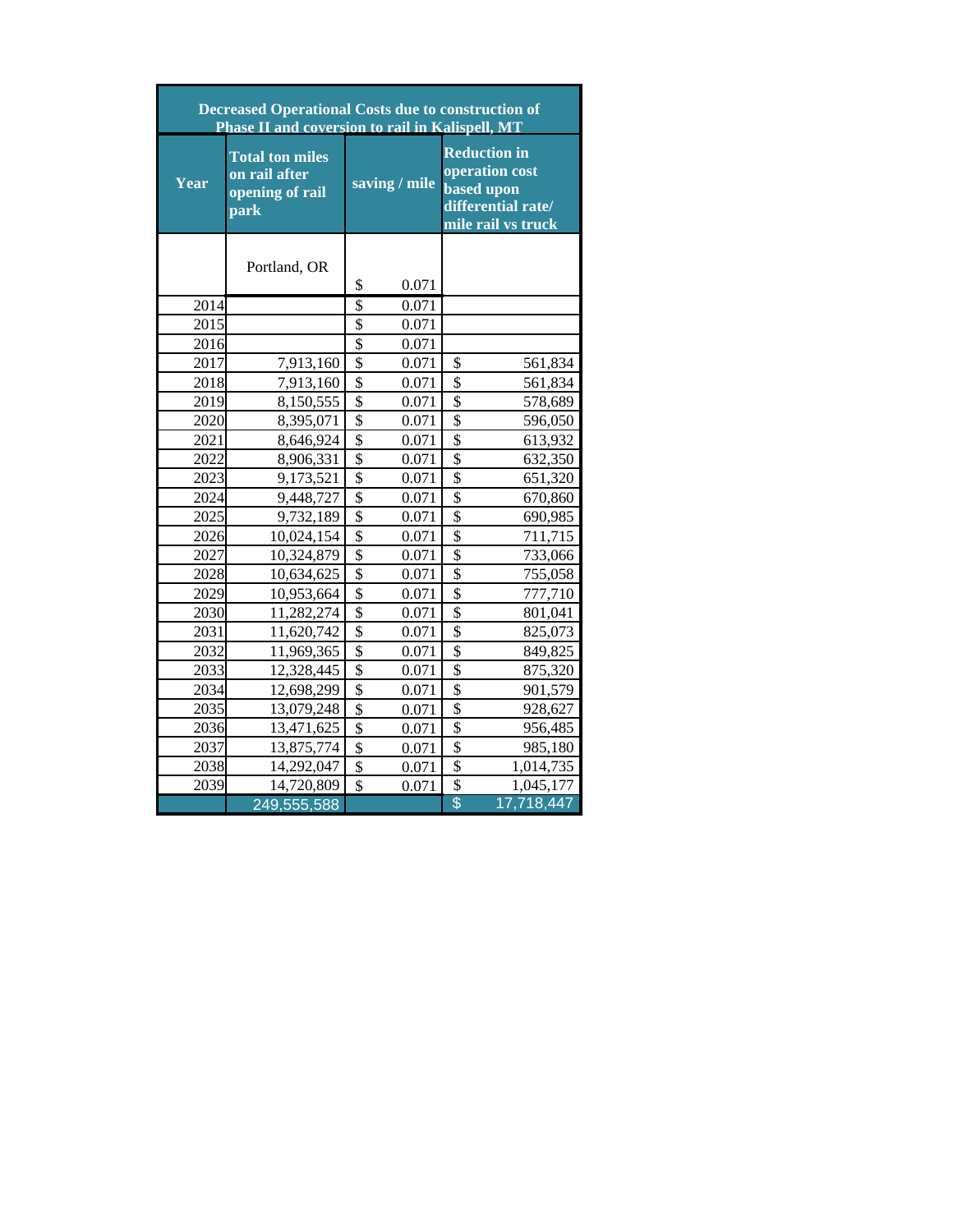|      | <b>Decreased Operational Costs due to construction of</b><br>Phase II and coversion to rail in Kalispell, MT |                         |               |                          |                                                                                                        |
|------|--------------------------------------------------------------------------------------------------------------|-------------------------|---------------|--------------------------|--------------------------------------------------------------------------------------------------------|
| Year | <b>Total ton miles</b><br>on rail after<br>opening of rail<br>park                                           |                         | saving / mile |                          | <b>Reduction in</b><br>operation cost<br><b>based</b> upon<br>differential rate/<br>mile rail vs truck |
|      | Portland, OR                                                                                                 | \$                      | 0.071         |                          |                                                                                                        |
| 2014 |                                                                                                              | \$                      | 0.071         |                          |                                                                                                        |
| 2015 |                                                                                                              | \$                      | 0.071         |                          |                                                                                                        |
| 2016 |                                                                                                              | \$                      | 0.071         |                          |                                                                                                        |
| 2017 | 7,913,160                                                                                                    | \$                      | 0.071         | \$                       | 561,834                                                                                                |
| 2018 | 7,913,160                                                                                                    | \$                      | 0.071         | \$                       | 561,834                                                                                                |
| 2019 | 8,150,555                                                                                                    | \$                      | 0.071         | \$                       | 578,689                                                                                                |
| 2020 | 8,395,071                                                                                                    | $\overline{\$}$         | 0.071         | $\overline{\$}$          | 596,050                                                                                                |
| 2021 | 8,646,924                                                                                                    | $\overline{\$}$         | 0.071         | $\overline{\$}$          | 613,932                                                                                                |
| 2022 | 8,906,331                                                                                                    | \$                      | 0.071         | $\overline{\$}$          | 632,350                                                                                                |
| 2023 | 9,173,521                                                                                                    | $\overline{\$}$         | 0.071         | $\overline{\mathbb{S}}$  | 651,320                                                                                                |
| 2024 | 9,448,727                                                                                                    | \$                      | 0.071         | $\overline{\mathcal{S}}$ | 670,860                                                                                                |
| 2025 | 9,732,189                                                                                                    | \$                      | 0.071         | \$                       | 690,985                                                                                                |
| 2026 | 10,024,154                                                                                                   | \$                      | 0.071         | \$                       | 711,715                                                                                                |
| 2027 | 10,324,879                                                                                                   | \$                      | 0.071         | \$                       | 733,066                                                                                                |
| 2028 | 10,634,625                                                                                                   | $\overline{\$}$         | 0.071         | $\overline{\$}$          | 755,058                                                                                                |
| 2029 | 10,953,664                                                                                                   | $\overline{\$}$         | 0.071         | $\overline{\$}$          | 777,710                                                                                                |
| 2030 | 11,282,274                                                                                                   | \$                      | 0.071         | $\overline{\$}$          | 801,041                                                                                                |
| 2031 | 11,620,742                                                                                                   | \$                      | 0.071         | $\overline{\$}$          | 825,073                                                                                                |
| 2032 | 11,969,365                                                                                                   | $\overline{\$}$         | 0.071         | $\overline{\mathcal{S}}$ | 849,825                                                                                                |
| 2033 | 12,328,445                                                                                                   | $\overline{\$}$         | 0.071         | $\overline{\$}$          | 875,320                                                                                                |
| 2034 | 12,698,299                                                                                                   | $\overline{\$}$         | 0.071         | $\overline{\$}$          | 901,579                                                                                                |
| 2035 | 13,079,248                                                                                                   | $\overline{\mathbf{S}}$ | 0.071         | $\overline{\$}$          | 928,627                                                                                                |
| 2036 | 13,471,625                                                                                                   | $\overline{\mathbf{S}}$ | 0.071         | $\overline{\$}$          | 956,485                                                                                                |
| 2037 | 13,875,774                                                                                                   | $\overline{\$}$         | 0.071         | $\overline{\$}$          | 985,180                                                                                                |
| 2038 | 14,292,047                                                                                                   | \$                      | 0.071         | $\overline{\$}$          | 1,014,735                                                                                              |
| 2039 | 14,720,809                                                                                                   | $\hat{S}$               | 0.071         | $\overline{\$}$          | 1,045,177                                                                                              |
|      | 249,555,588                                                                                                  |                         |               | \$                       | 17,718,447                                                                                             |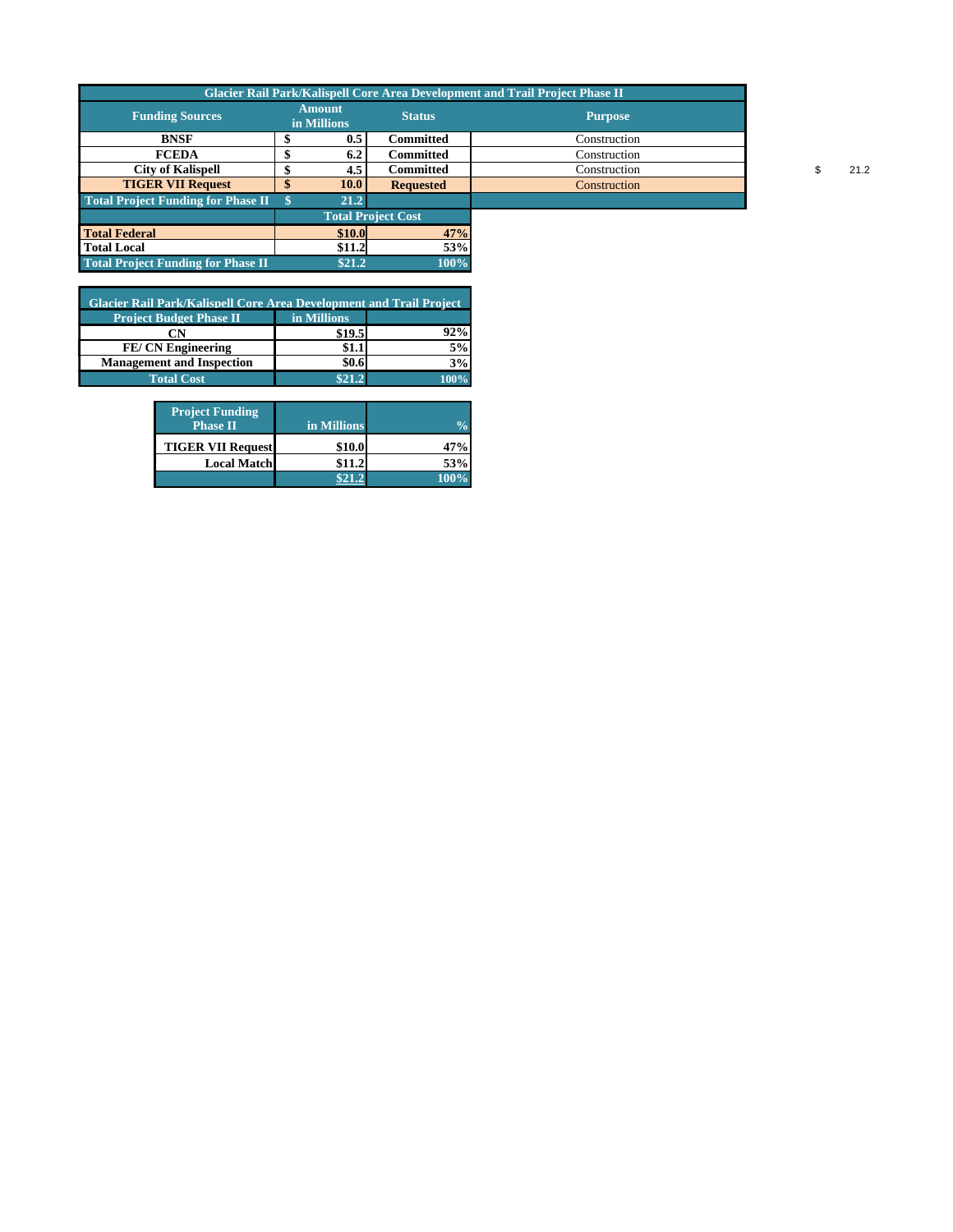| <b>Funding Sources</b>                    | <b>Amount</b><br>in Millions | <b>Status</b>             | <b>Glacier Rail Park/Kalispell Core Area Development and Trail Project Phase II</b><br><b>Purpose</b> |  |      |
|-------------------------------------------|------------------------------|---------------------------|-------------------------------------------------------------------------------------------------------|--|------|
| <b>BNSF</b>                               | 0.5                          | Committed                 | Construction                                                                                          |  |      |
| <b>FCEDA</b>                              | 6.2                          | <b>Committed</b>          | Construction                                                                                          |  |      |
| <b>City of Kalispell</b>                  | 4.5                          | <b>Committed</b>          | Construction                                                                                          |  | 21.2 |
| <b>TIGER VII Request</b>                  | 10.0                         | <b>Requested</b>          | Construction                                                                                          |  |      |
| <b>Total Project Funding for Phase II</b> | 21.2                         |                           |                                                                                                       |  |      |
|                                           |                              | <b>Total Project Cost</b> |                                                                                                       |  |      |
| <b>Total Federal</b>                      | \$10.0                       | 47%                       |                                                                                                       |  |      |
| <b>Total Local</b>                        | \$11.2                       | 53%                       |                                                                                                       |  |      |
| <b>Total Project Funding for Phase II</b> | \$21.2                       | 100%                      |                                                                                                       |  |      |
|                                           |                              |                           |                                                                                                       |  |      |

| <b>Glacier Rail Park/Kalispell Core Area Development and Trail Project</b> |             |     |  |  |  |  |  |  |
|----------------------------------------------------------------------------|-------------|-----|--|--|--|--|--|--|
| <b>Project Budget Phase II</b>                                             | in Millions |     |  |  |  |  |  |  |
| CN                                                                         | \$19.5      | 92% |  |  |  |  |  |  |
| <b>FE/CN Engineering</b>                                                   |             |     |  |  |  |  |  |  |
| <b>Management and Inspection</b>                                           |             |     |  |  |  |  |  |  |
| <b>Total Cost</b>                                                          | \$21.2      |     |  |  |  |  |  |  |

| <b>Project Funding</b><br><b>Phase II</b> | in Millions |         |
|-------------------------------------------|-------------|---------|
| <b>TIGER VII Request</b>                  | \$10.0      | 47%     |
| <b>Local Matchl</b>                       | \$11.2      | 53%     |
|                                           |             | $-100%$ |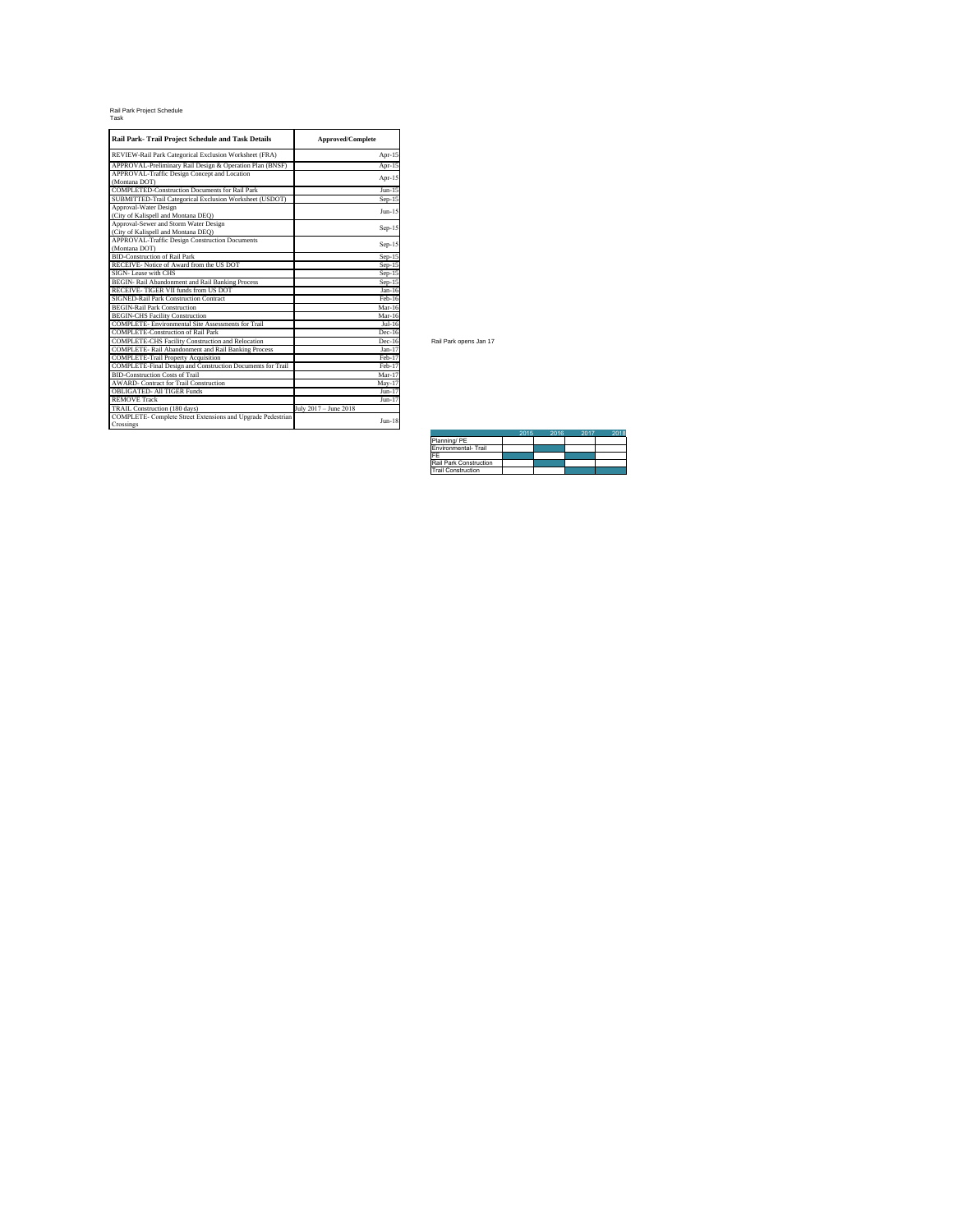#### Rail Park Project Schedule Task

| Rail Park- Trail Project Schedule and Task Details                       | <b>Approved/Complete</b> |  |  |  |
|--------------------------------------------------------------------------|--------------------------|--|--|--|
| REVIEW-Rail Park Categorical Exclusion Worksheet (FRA)                   | Apr- $15$                |  |  |  |
| APPROVAL-Preliminary Rail Design & Operation Plan (BNSF)                 | $Apr-15$                 |  |  |  |
| APPROVAL-Traffic Design Concept and Location                             |                          |  |  |  |
| (Montana DOT)                                                            | Apr-15                   |  |  |  |
| <b>COMPLETED-Construction Documents for Rail Park</b>                    | $Jun-15$                 |  |  |  |
| SUBMITTED-Trail Categorical Exclusion Worksheet (USDOT)                  | $Sep-15$                 |  |  |  |
| Approval-Water Design                                                    | $Inn-15$                 |  |  |  |
| (City of Kalispell and Montana DEQ)                                      |                          |  |  |  |
| Approval-Sewer and Storm Water Design                                    |                          |  |  |  |
| (City of Kalispell and Montana DEQ)                                      | Sep-15                   |  |  |  |
| APPROVAL-Traffic Design Construction Documents                           | Sep-15                   |  |  |  |
| (Montana DOT)                                                            |                          |  |  |  |
| <b>BID-Construction of Rail Park</b>                                     | $Sep-15$                 |  |  |  |
| RECEIVE- Notice of Award from the US DOT                                 | $Sep-15$                 |  |  |  |
| SIGN-Lease with CHS                                                      | $Sep-15$                 |  |  |  |
| BEGIN- Rail Abandonment and Rail Banking Process                         | $Sep-15$                 |  |  |  |
| RECEIVE-TIGER VII funds from US DOT                                      | $Jan-16$                 |  |  |  |
| SIGNED-Rail Park Construction Contract                                   | Feb-16                   |  |  |  |
| <b>BEGIN-Rail Park Construction</b>                                      | $Mar-16$                 |  |  |  |
| <b>BEGIN-CHS Facility Construction</b>                                   | $Mar-16$                 |  |  |  |
| <b>COMPLETE-</b> Environmental Site Assessments for Trail                | $Jul-16$                 |  |  |  |
| <b>COMPLETE-Construction of Rail Park</b>                                | $Dec-16$                 |  |  |  |
| COMPLETE-CHS Facility Construction and Relocation                        | $Dec-16$                 |  |  |  |
| COMPLETE- Rail Abandonment and Rail Banking Process                      | $Jan-17$                 |  |  |  |
| <b>COMPLETE-Trail Property Acquisition</b>                               | Feb-17                   |  |  |  |
| COMPLETE-Final Design and Construction Documents for Trail               | Feb-17                   |  |  |  |
| <b>BID-Construction Costs of Trail</b>                                   | $Mar-17$                 |  |  |  |
| <b>AWARD- Contract for Trail Construction</b>                            | $Mav-17$                 |  |  |  |
| <b>OBLIGATED- All TIGER Funds</b>                                        | $Jun-17$                 |  |  |  |
| <b>REMOVE Track</b>                                                      | $Jun-17$                 |  |  |  |
| TRAIL Construction (180 days)                                            | July 2017 - June 2018    |  |  |  |
| COMPLETE- Complete Street Extensions and Upgrade Pedestrian<br>Crossings | $Jun-18$                 |  |  |  |

Rail Park opens Jan 17

|                           | 2015 | 2016 | 2017 | 201. |
|---------------------------|------|------|------|------|
| Planning/PE               |      |      |      |      |
| Environmental- Trail      |      |      |      |      |
| FF                        |      |      |      |      |
| Rail Park Construction    |      |      |      |      |
| <b>Trail Construction</b> |      |      |      |      |